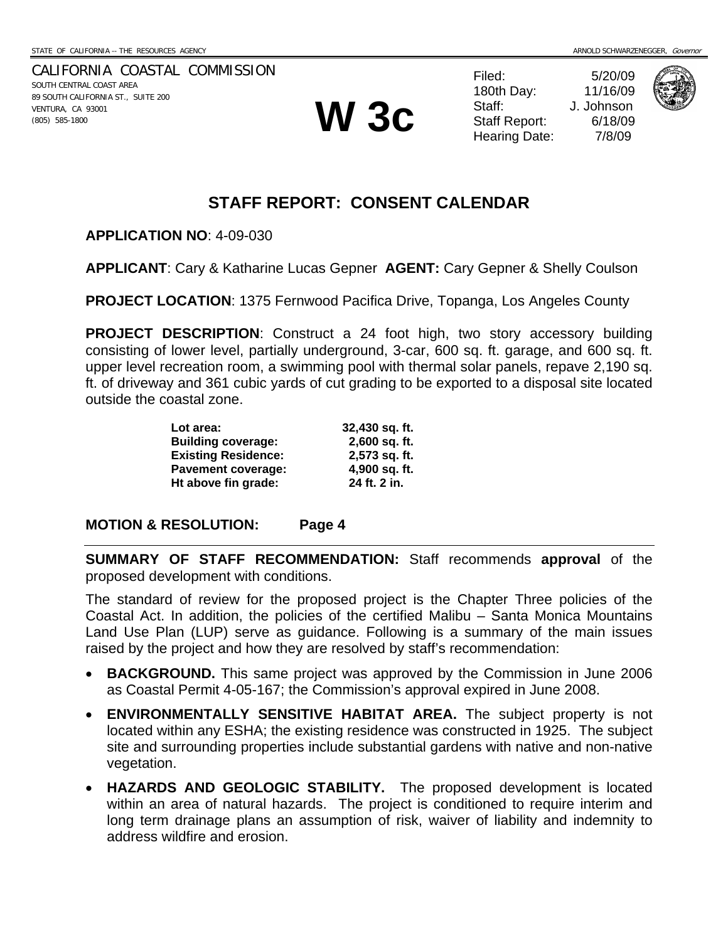CALIFORNIA COASTAL COMMISSION SOUTH CENTRAL COAST AREA 89 SOUTH CALIFORNIA ST., SUITE 200 VENTURA, CA 93001 VENTURA, CA 93001 **W 3c** 

Filed: 5/20/09 180th Day: 11/16/09 Staff: J. Johnson Staff Report: 6/18/09 Hearing Date: 7/8/09



## **STAFF REPORT: CONSENT CALENDAR**

**APPLICATION NO**: 4-09-030

**APPLICANT**: Cary & Katharine Lucas Gepner **AGENT:** Cary Gepner & Shelly Coulson

**PROJECT LOCATION**: 1375 Fernwood Pacifica Drive, Topanga, Los Angeles County

**PROJECT DESCRIPTION:** Construct a 24 foot high, two story accessory building consisting of lower level, partially underground, 3-car, 600 sq. ft. garage, and 600 sq. ft. upper level recreation room, a swimming pool with thermal solar panels, repave 2,190 sq. ft. of driveway and 361 cubic yards of cut grading to be exported to a disposal site located outside the coastal zone.

| Lot area:                  | 32,430 sq. ft. |
|----------------------------|----------------|
| <b>Building coverage:</b>  | 2,600 sq. ft.  |
| <b>Existing Residence:</b> | 2,573 sq. ft.  |
| <b>Pavement coverage:</b>  | 4,900 sq. ft.  |
| Ht above fin grade:        | 24 ft. 2 in.   |

#### **MOTION & RESOLUTION: Page 4**

**SUMMARY OF STAFF RECOMMENDATION:** Staff recommends **approval** of the proposed development with conditions.

The standard of review for the proposed project is the Chapter Three policies of the Coastal Act. In addition, the policies of the certified Malibu – Santa Monica Mountains Land Use Plan (LUP) serve as guidance. Following is a summary of the main issues raised by the project and how they are resolved by staff's recommendation:

- **BACKGROUND.** This same project was approved by the Commission in June 2006 as Coastal Permit 4-05-167; the Commission's approval expired in June 2008.
- **ENVIRONMENTALLY SENSITIVE HABITAT AREA.** The subject property is not located within any ESHA; the existing residence was constructed in 1925. The subject site and surrounding properties include substantial gardens with native and non-native vegetation.
- **HAZARDS AND GEOLOGIC STABILITY.** The proposed development is located within an area of natural hazards. The project is conditioned to require interim and long term drainage plans an assumption of risk, waiver of liability and indemnity to address wildfire and erosion.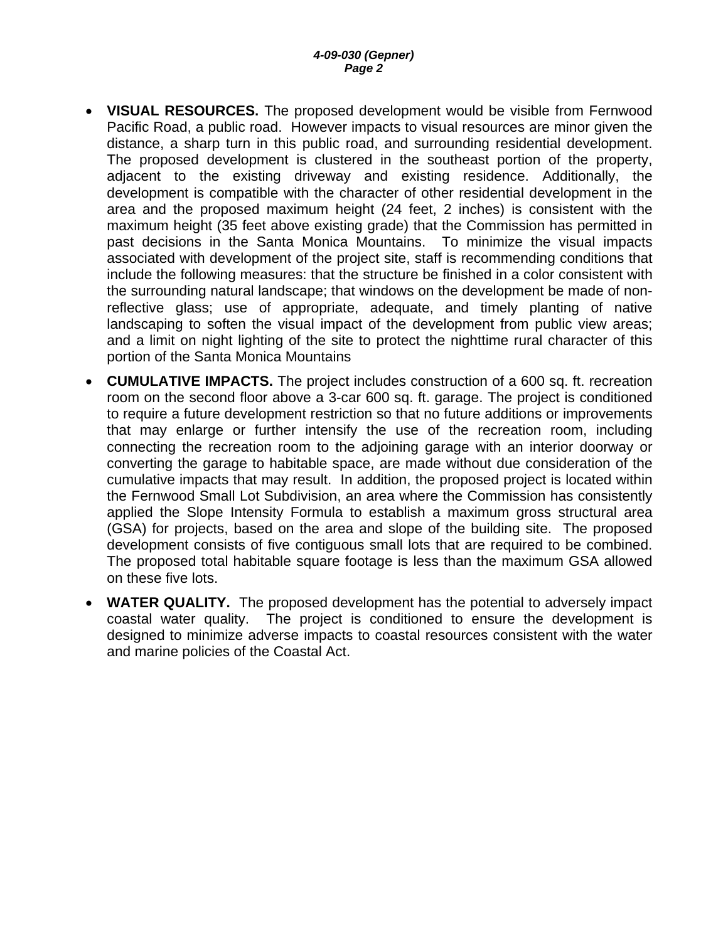- **VISUAL RESOURCES.** The proposed development would be visible from Fernwood Pacific Road, a public road. However impacts to visual resources are minor given the distance, a sharp turn in this public road, and surrounding residential development. The proposed development is clustered in the southeast portion of the property, adjacent to the existing driveway and existing residence. Additionally, the development is compatible with the character of other residential development in the area and the proposed maximum height (24 feet, 2 inches) is consistent with the maximum height (35 feet above existing grade) that the Commission has permitted in past decisions in the Santa Monica Mountains. To minimize the visual impacts associated with development of the project site, staff is recommending conditions that include the following measures: that the structure be finished in a color consistent with the surrounding natural landscape; that windows on the development be made of nonreflective glass; use of appropriate, adequate, and timely planting of native landscaping to soften the visual impact of the development from public view areas; and a limit on night lighting of the site to protect the nighttime rural character of this portion of the Santa Monica Mountains
- **CUMULATIVE IMPACTS.** The project includes construction of a 600 sq. ft. recreation room on the second floor above a 3-car 600 sq. ft. garage. The project is conditioned to require a future development restriction so that no future additions or improvements that may enlarge or further intensify the use of the recreation room, including connecting the recreation room to the adjoining garage with an interior doorway or converting the garage to habitable space, are made without due consideration of the cumulative impacts that may result. In addition, the proposed project is located within the Fernwood Small Lot Subdivision, an area where the Commission has consistently applied the Slope Intensity Formula to establish a maximum gross structural area (GSA) for projects, based on the area and slope of the building site. The proposed development consists of five contiguous small lots that are required to be combined. The proposed total habitable square footage is less than the maximum GSA allowed on these five lots.
- **WATER QUALITY.** The proposed development has the potential to adversely impact coastal water quality. The project is conditioned to ensure the development is designed to minimize adverse impacts to coastal resources consistent with the water and marine policies of the Coastal Act.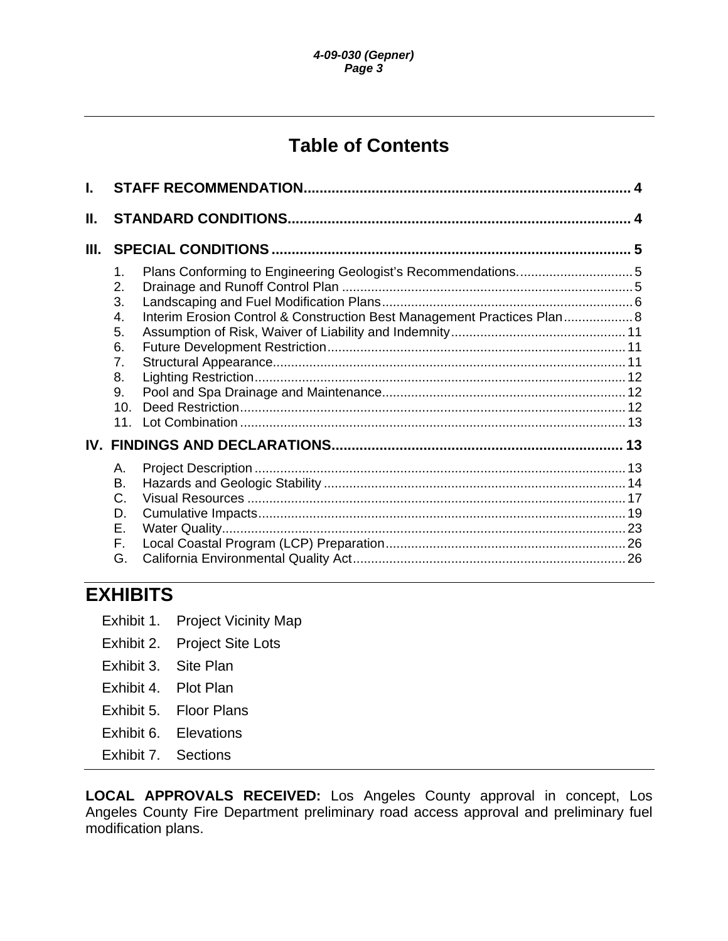# **Table of Contents**

| 1.<br>2.<br>3.<br>$\mathbf{4}$ .<br>5.<br>6.<br>7.<br>8.<br>9.<br>10 <sub>1</sub><br>11 <sup>1</sup> | Plans Conforming to Engineering Geologist's Recommendations5<br>Interim Erosion Control & Construction Best Management Practices Plan 8 |  |
|------------------------------------------------------------------------------------------------------|-----------------------------------------------------------------------------------------------------------------------------------------|--|
|                                                                                                      |                                                                                                                                         |  |
| А.<br>В.<br>C.<br>D.<br>Ε.<br>F.<br>G.                                                               |                                                                                                                                         |  |
|                                                                                                      |                                                                                                                                         |  |

# **EXHIBITS**

- Exhibit 1. Project Vicinity Map
- Exhibit 2. Project Site Lots
- Exhibit 3. Site Plan
- Exhibit 4. Plot Plan
- Exhibit 5. Floor Plans
- Exhibit 6. Elevations
- Exhibit 7. Sections

**LOCAL APPROVALS RECEIVED:** Los Angeles County approval in concept, Los Angeles County Fire Department preliminary road access approval and preliminary fuel modification plans.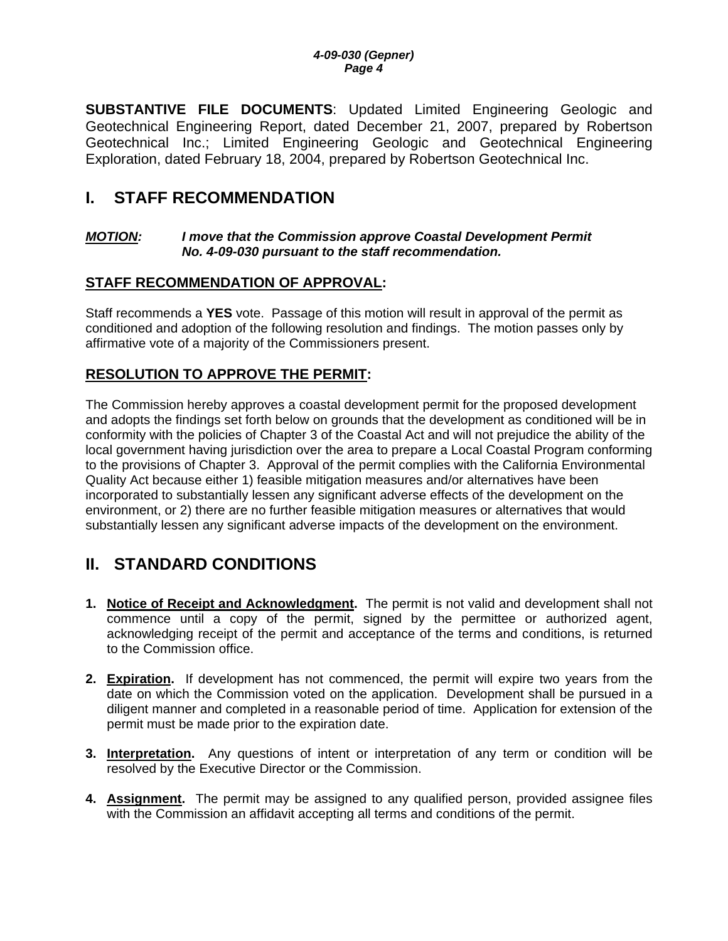<span id="page-3-0"></span>**SUBSTANTIVE FILE DOCUMENTS**: Updated Limited Engineering Geologic and Geotechnical Engineering Report, dated December 21, 2007, prepared by Robertson Geotechnical Inc.; Limited Engineering Geologic and Geotechnical Engineering Exploration, dated February 18, 2004, prepared by Robertson Geotechnical Inc.

## **I. STAFF RECOMMENDATION**

#### *MOTION: I move that the Commission approve Coastal Development Permit No. 4-09-030 pursuant to the staff recommendation.*

### **STAFF RECOMMENDATION OF APPROVAL:**

Staff recommends a **YES** vote. Passage of this motion will result in approval of the permit as conditioned and adoption of the following resolution and findings. The motion passes only by affirmative vote of a majority of the Commissioners present.

### **RESOLUTION TO APPROVE THE PERMIT:**

The Commission hereby approves a coastal development permit for the proposed development and adopts the findings set forth below on grounds that the development as conditioned will be in conformity with the policies of Chapter 3 of the Coastal Act and will not prejudice the ability of the local government having jurisdiction over the area to prepare a Local Coastal Program conforming to the provisions of Chapter 3. Approval of the permit complies with the California Environmental Quality Act because either 1) feasible mitigation measures and/or alternatives have been incorporated to substantially lessen any significant adverse effects of the development on the environment, or 2) there are no further feasible mitigation measures or alternatives that would substantially lessen any significant adverse impacts of the development on the environment.

## **II. STANDARD CONDITIONS**

- **1. Notice of Receipt and Acknowledgment.** The permit is not valid and development shall not commence until a copy of the permit, signed by the permittee or authorized agent, acknowledging receipt of the permit and acceptance of the terms and conditions, is returned to the Commission office.
- **2. Expiration.** If development has not commenced, the permit will expire two years from the date on which the Commission voted on the application. Development shall be pursued in a diligent manner and completed in a reasonable period of time. Application for extension of the permit must be made prior to the expiration date.
- **3. Interpretation.** Any questions of intent or interpretation of any term or condition will be resolved by the Executive Director or the Commission.
- **4. Assignment.** The permit may be assigned to any qualified person, provided assignee files with the Commission an affidavit accepting all terms and conditions of the permit.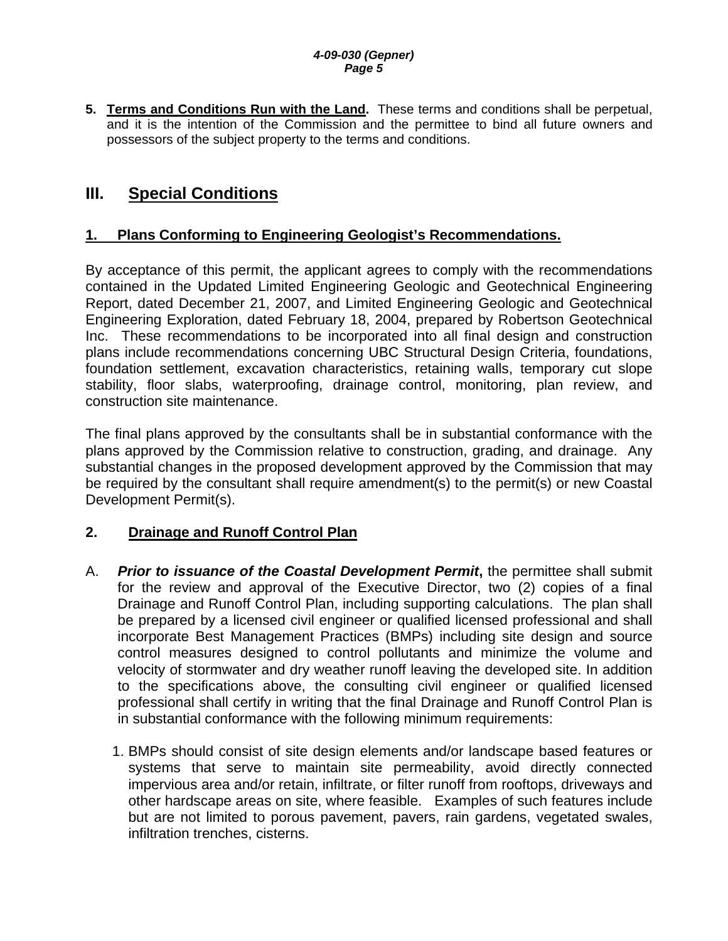#### *4-09-030 (Gepner) Page 5*

<span id="page-4-0"></span>**5. Terms and Conditions Run with the Land.** These terms and conditions shall be perpetual, and it is the intention of the Commission and the permittee to bind all future owners and possessors of the subject property to the terms and conditions.

## **III. Special Conditions**

### **1. Plans Conforming to Engineering Geologist's Recommendations.**

By acceptance of this permit, the applicant agrees to comply with the recommendations contained in the Updated Limited Engineering Geologic and Geotechnical Engineering Report, dated December 21, 2007, and Limited Engineering Geologic and Geotechnical Engineering Exploration, dated February 18, 2004, prepared by Robertson Geotechnical Inc. These recommendations to be incorporated into all final design and construction plans include recommendations concerning UBC Structural Design Criteria, foundations, foundation settlement, excavation characteristics, retaining walls, temporary cut slope stability, floor slabs, waterproofing, drainage control, monitoring, plan review, and construction site maintenance.

The final plans approved by the consultants shall be in substantial conformance with the plans approved by the Commission relative to construction, grading, and drainage. Any substantial changes in the proposed development approved by the Commission that may be required by the consultant shall require amendment(s) to the permit(s) or new Coastal Development Permit(s).

### **2. Drainage and Runoff Control Plan**

- A. *Prior to issuance of the Coastal Development Permit***,** the permittee shall submit for the review and approval of the Executive Director, two (2) copies of a final Drainage and Runoff Control Plan, including supporting calculations. The plan shall be prepared by a licensed civil engineer or qualified licensed professional and shall incorporate Best Management Practices (BMPs) including site design and source control measures designed to control pollutants and minimize the volume and velocity of stormwater and dry weather runoff leaving the developed site. In addition to the specifications above, the consulting civil engineer or qualified licensed professional shall certify in writing that the final Drainage and Runoff Control Plan is in substantial conformance with the following minimum requirements:
	- 1. BMPs should consist of site design elements and/or landscape based features or systems that serve to maintain site permeability, avoid directly connected impervious area and/or retain, infiltrate, or filter runoff from rooftops, driveways and other hardscape areas on site, where feasible. Examples of such features include but are not limited to porous pavement, pavers, rain gardens, vegetated swales, infiltration trenches, cisterns.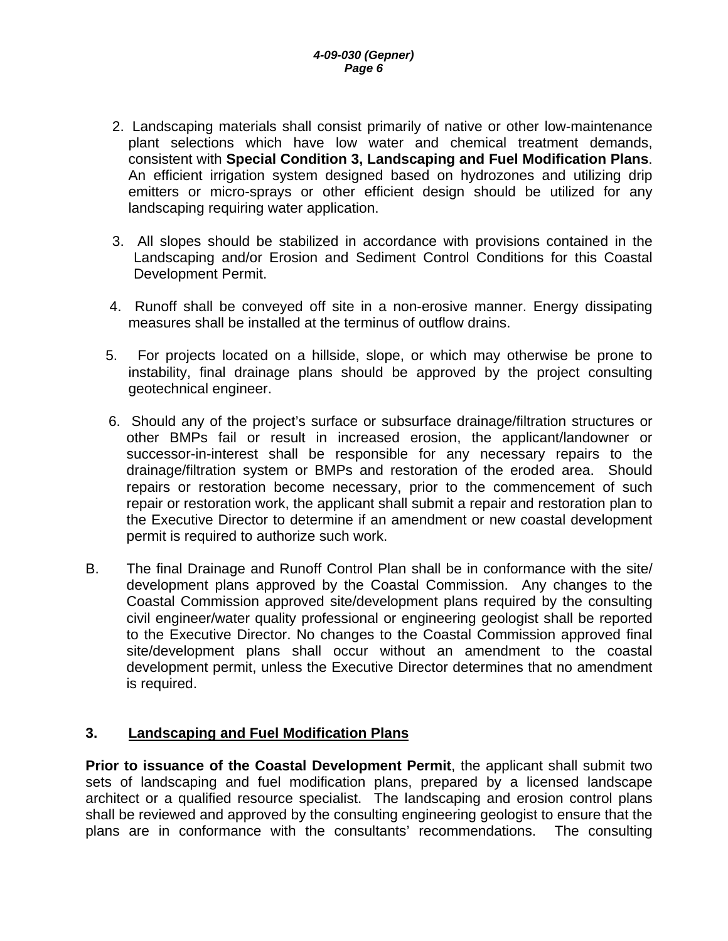- <span id="page-5-0"></span>2.Landscaping materials shall consist primarily of native or other low-maintenance plant selections which have low water and chemical treatment demands, consistent with **Special Condition 3, Landscaping and Fuel Modification Plans**. An efficient irrigation system designed based on hydrozones and utilizing drip emitters or micro-sprays or other efficient design should be utilized for any landscaping requiring water application.
- 3. All slopes should be stabilized in accordance with provisions contained in the Landscaping and/or Erosion and Sediment Control Conditions for this Coastal Development Permit.
- 4. Runoff shall be conveyed off site in a non-erosive manner. Energy dissipating measures shall be installed at the terminus of outflow drains.
- 5. For projects located on a hillside, slope, or which may otherwise be prone to instability, final drainage plans should be approved by the project consulting geotechnical engineer.
- 6. Should any of the project's surface or subsurface drainage/filtration structures or other BMPs fail or result in increased erosion, the applicant/landowner or successor-in-interest shall be responsible for any necessary repairs to the drainage/filtration system or BMPs and restoration of the eroded area. Should repairs or restoration become necessary, prior to the commencement of such repair or restoration work, the applicant shall submit a repair and restoration plan to the Executive Director to determine if an amendment or new coastal development permit is required to authorize such work.
- B. The final Drainage and Runoff Control Plan shall be in conformance with the site/ development plans approved by the Coastal Commission. Any changes to the Coastal Commission approved site/development plans required by the consulting civil engineer/water quality professional or engineering geologist shall be reported to the Executive Director. No changes to the Coastal Commission approved final site/development plans shall occur without an amendment to the coastal development permit, unless the Executive Director determines that no amendment is required.

#### **3. Landscaping and Fuel Modification Plans**

**Prior to issuance of the Coastal Development Permit**, the applicant shall submit two sets of landscaping and fuel modification plans, prepared by a licensed landscape architect or a qualified resource specialist. The landscaping and erosion control plans shall be reviewed and approved by the consulting engineering geologist to ensure that the plans are in conformance with the consultants' recommendations. The consulting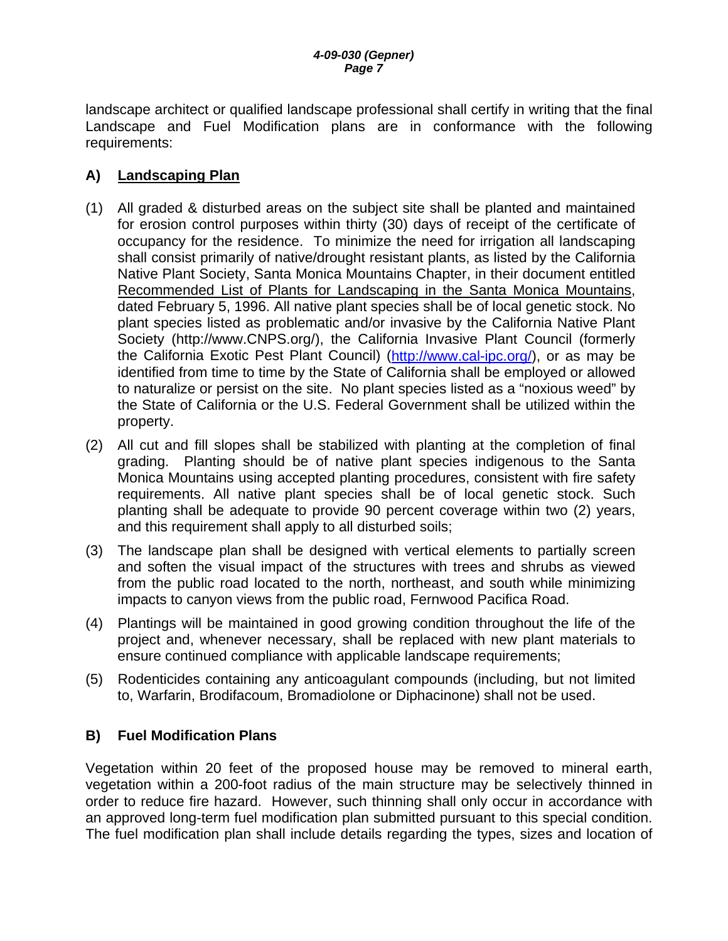landscape architect or qualified landscape professional shall certify in writing that the final Landscape and Fuel Modification plans are in conformance with the following requirements:

### **A) Landscaping Plan**

- (1) All graded & disturbed areas on the subject site shall be planted and maintained for erosion control purposes within thirty (30) days of receipt of the certificate of occupancy for the residence. To minimize the need for irrigation all landscaping shall consist primarily of native/drought resistant plants, as listed by the California Native Plant Society, Santa Monica Mountains Chapter, in their document entitled Recommended List of Plants for Landscaping in the Santa Monica Mountains, dated February 5, 1996. All native plant species shall be of local genetic stock. No plant species listed as problematic and/or invasive by the California Native Plant Society [\(http://www.CNPS.org/](http://www.cnps.org/)), the California Invasive Plant Council (formerly the California Exotic Pest Plant Council) [\(http://www.cal-ipc.org/](http://www.cal-ipc.org/)), or as may be identified from time to time by the State of California shall be employed or allowed to naturalize or persist on the site. No plant species listed as a "noxious weed" by the State of California or the U.S. Federal Government shall be utilized within the property.
- (2) All cut and fill slopes shall be stabilized with planting at the completion of final grading. Planting should be of native plant species indigenous to the Santa Monica Mountains using accepted planting procedures, consistent with fire safety requirements. All native plant species shall be of local genetic stock. Such planting shall be adequate to provide 90 percent coverage within two (2) years, and this requirement shall apply to all disturbed soils;
- (3) The landscape plan shall be designed with vertical elements to partially screen and soften the visual impact of the structures with trees and shrubs as viewed from the public road located to the north, northeast, and south while minimizing impacts to canyon views from the public road, Fernwood Pacifica Road.
- (4) Plantings will be maintained in good growing condition throughout the life of the project and, whenever necessary, shall be replaced with new plant materials to ensure continued compliance with applicable landscape requirements;
- (5) Rodenticides containing any anticoagulant compounds (including, but not limited to, Warfarin, Brodifacoum, Bromadiolone or Diphacinone) shall not be used.

### **B) Fuel Modification Plans**

Vegetation within 20 feet of the proposed house may be removed to mineral earth, vegetation within a 200-foot radius of the main structure may be selectively thinned in order to reduce fire hazard. However, such thinning shall only occur in accordance with an approved long-term fuel modification plan submitted pursuant to this special condition. The fuel modification plan shall include details regarding the types, sizes and location of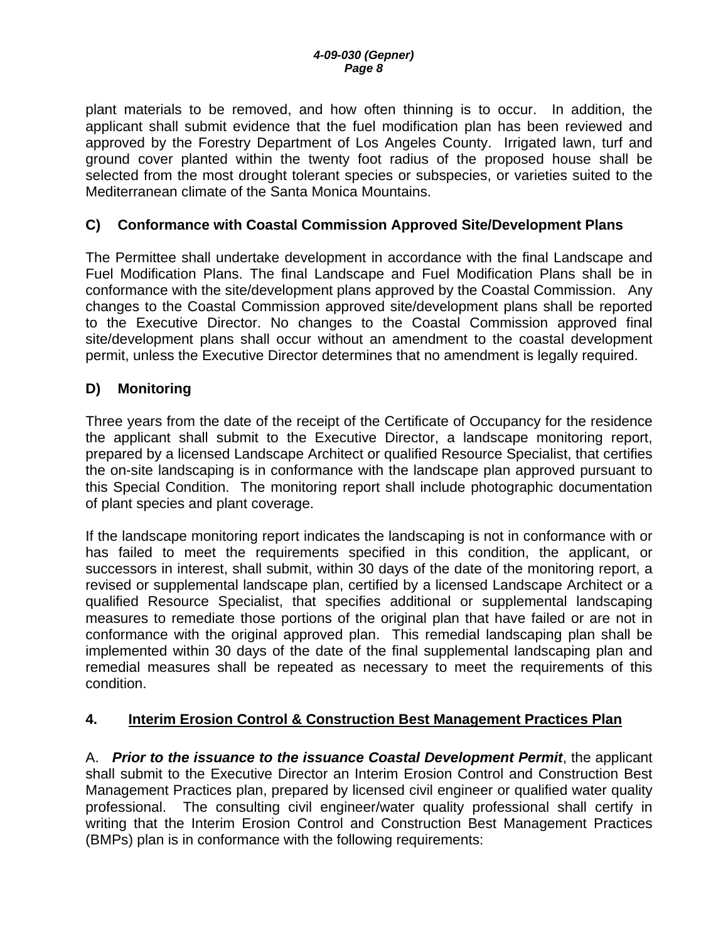<span id="page-7-0"></span>plant materials to be removed, and how often thinning is to occur. In addition, the applicant shall submit evidence that the fuel modification plan has been reviewed and approved by the Forestry Department of Los Angeles County. Irrigated lawn, turf and ground cover planted within the twenty foot radius of the proposed house shall be selected from the most drought tolerant species or subspecies, or varieties suited to the Mediterranean climate of the Santa Monica Mountains.

#### **C) Conformance with Coastal Commission Approved Site/Development Plans**

The Permittee shall undertake development in accordance with the final Landscape and Fuel Modification Plans. The final Landscape and Fuel Modification Plans shall be in conformance with the site/development plans approved by the Coastal Commission. Any changes to the Coastal Commission approved site/development plans shall be reported to the Executive Director. No changes to the Coastal Commission approved final site/development plans shall occur without an amendment to the coastal development permit, unless the Executive Director determines that no amendment is legally required.

#### **D) Monitoring**

Three years from the date of the receipt of the Certificate of Occupancy for the residence the applicant shall submit to the Executive Director, a landscape monitoring report, prepared by a licensed Landscape Architect or qualified Resource Specialist, that certifies the on-site landscaping is in conformance with the landscape plan approved pursuant to this Special Condition. The monitoring report shall include photographic documentation of plant species and plant coverage.

If the landscape monitoring report indicates the landscaping is not in conformance with or has failed to meet the requirements specified in this condition, the applicant, or successors in interest, shall submit, within 30 days of the date of the monitoring report, a revised or supplemental landscape plan, certified by a licensed Landscape Architect or a qualified Resource Specialist, that specifies additional or supplemental landscaping measures to remediate those portions of the original plan that have failed or are not in conformance with the original approved plan. This remedial landscaping plan shall be implemented within 30 days of the date of the final supplemental landscaping plan and remedial measures shall be repeated as necessary to meet the requirements of this condition.

#### **4. Interim Erosion Control & Construction Best Management Practices Plan**

A. *Prior to the issuance to the issuance Coastal Development Permit*, the applicant shall submit to the Executive Director an Interim Erosion Control and Construction Best Management Practices plan, prepared by licensed civil engineer or qualified water quality professional. The consulting civil engineer/water quality professional shall certify in writing that the Interim Erosion Control and Construction Best Management Practices (BMPs) plan is in conformance with the following requirements: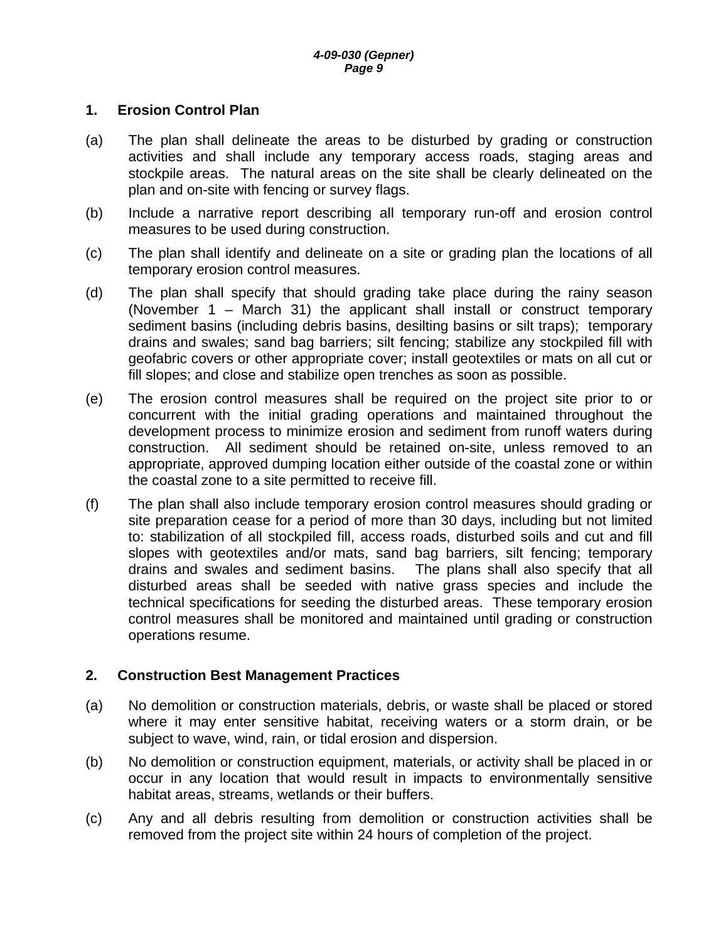#### **1. Erosion Control Plan**

- (a) The plan shall delineate the areas to be disturbed by grading or construction activities and shall include any temporary access roads, staging areas and stockpile areas. The natural areas on the site shall be clearly delineated on the plan and on-site with fencing or survey flags.
- (b) Include a narrative report describing all temporary run-off and erosion control measures to be used during construction.
- (c) The plan shall identify and delineate on a site or grading plan the locations of all temporary erosion control measures.
- (d) The plan shall specify that should grading take place during the rainy season (November 1 – March 31) the applicant shall install or construct temporary sediment basins (including debris basins, desilting basins or silt traps); temporary drains and swales; sand bag barriers; silt fencing; stabilize any stockpiled fill with geofabric covers or other appropriate cover; install geotextiles or mats on all cut or fill slopes; and close and stabilize open trenches as soon as possible.
- (e) The erosion control measures shall be required on the project site prior to or concurrent with the initial grading operations and maintained throughout the development process to minimize erosion and sediment from runoff waters during construction. All sediment should be retained on-site, unless removed to an appropriate, approved dumping location either outside of the coastal zone or within the coastal zone to a site permitted to receive fill.
- (f) The plan shall also include temporary erosion control measures should grading or site preparation cease for a period of more than 30 days, including but not limited to: stabilization of all stockpiled fill, access roads, disturbed soils and cut and fill slopes with geotextiles and/or mats, sand bag barriers, silt fencing; temporary drains and swales and sediment basins. The plans shall also specify that all disturbed areas shall be seeded with native grass species and include the technical specifications for seeding the disturbed areas. These temporary erosion control measures shall be monitored and maintained until grading or construction operations resume.

#### **2. Construction Best Management Practices**

- (a) No demolition or construction materials, debris, or waste shall be placed or stored where it may enter sensitive habitat, receiving waters or a storm drain, or be subject to wave, wind, rain, or tidal erosion and dispersion.
- (b) No demolition or construction equipment, materials, or activity shall be placed in or occur in any location that would result in impacts to environmentally sensitive habitat areas, streams, wetlands or their buffers.
- (c) Any and all debris resulting from demolition or construction activities shall be removed from the project site within 24 hours of completion of the project.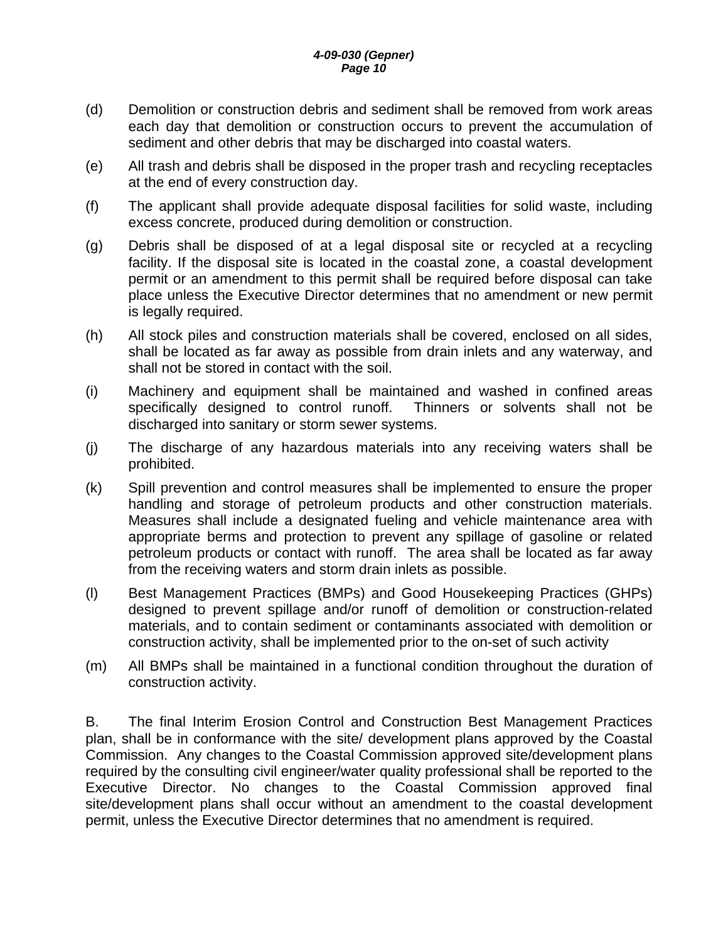- (d) Demolition or construction debris and sediment shall be removed from work areas each day that demolition or construction occurs to prevent the accumulation of sediment and other debris that may be discharged into coastal waters.
- (e) All trash and debris shall be disposed in the proper trash and recycling receptacles at the end of every construction day.
- (f) The applicant shall provide adequate disposal facilities for solid waste, including excess concrete, produced during demolition or construction.
- (g) Debris shall be disposed of at a legal disposal site or recycled at a recycling facility. If the disposal site is located in the coastal zone, a coastal development permit or an amendment to this permit shall be required before disposal can take place unless the Executive Director determines that no amendment or new permit is legally required.
- (h) All stock piles and construction materials shall be covered, enclosed on all sides, shall be located as far away as possible from drain inlets and any waterway, and shall not be stored in contact with the soil.
- (i) Machinery and equipment shall be maintained and washed in confined areas specifically designed to control runoff. Thinners or solvents shall not be discharged into sanitary or storm sewer systems.
- (j) The discharge of any hazardous materials into any receiving waters shall be prohibited.
- (k) Spill prevention and control measures shall be implemented to ensure the proper handling and storage of petroleum products and other construction materials. Measures shall include a designated fueling and vehicle maintenance area with appropriate berms and protection to prevent any spillage of gasoline or related petroleum products or contact with runoff. The area shall be located as far away from the receiving waters and storm drain inlets as possible.
- (l) Best Management Practices (BMPs) and Good Housekeeping Practices (GHPs) designed to prevent spillage and/or runoff of demolition or construction-related materials, and to contain sediment or contaminants associated with demolition or construction activity, shall be implemented prior to the on-set of such activity
- (m) All BMPs shall be maintained in a functional condition throughout the duration of construction activity.

B. The final Interim Erosion Control and Construction Best Management Practices plan, shall be in conformance with the site/ development plans approved by the Coastal Commission. Any changes to the Coastal Commission approved site/development plans required by the consulting civil engineer/water quality professional shall be reported to the Executive Director. No changes to the Coastal Commission approved final site/development plans shall occur without an amendment to the coastal development permit, unless the Executive Director determines that no amendment is required.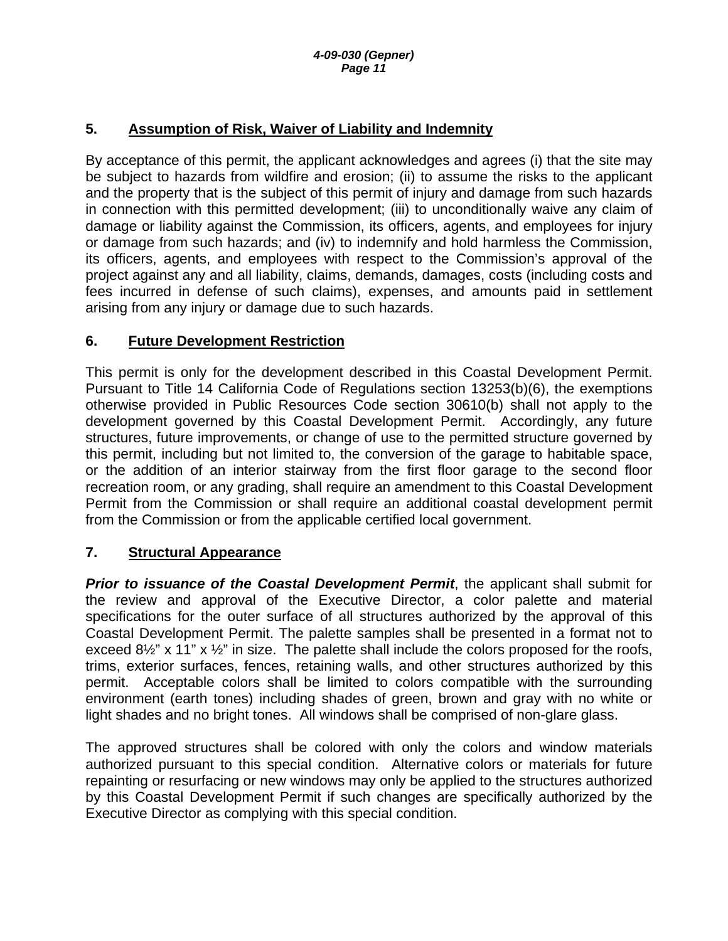### <span id="page-10-0"></span>**5. Assumption of Risk, Waiver of Liability and Indemnity**

By acceptance of this permit, the applicant acknowledges and agrees (i) that the site may be subject to hazards from wildfire and erosion; (ii) to assume the risks to the applicant and the property that is the subject of this permit of injury and damage from such hazards in connection with this permitted development; (iii) to unconditionally waive any claim of damage or liability against the Commission, its officers, agents, and employees for injury or damage from such hazards; and (iv) to indemnify and hold harmless the Commission, its officers, agents, and employees with respect to the Commission's approval of the project against any and all liability, claims, demands, damages, costs (including costs and fees incurred in defense of such claims), expenses, and amounts paid in settlement arising from any injury or damage due to such hazards.

### **6. Future Development Restriction**

This permit is only for the development described in this Coastal Development Permit. Pursuant to Title 14 California Code of Regulations section 13253(b)(6), the exemptions otherwise provided in Public Resources Code section 30610(b) shall not apply to the development governed by this Coastal Development Permit. Accordingly, any future structures, future improvements, or change of use to the permitted structure governed by this permit, including but not limited to, the conversion of the garage to habitable space, or the addition of an interior stairway from the first floor garage to the second floor recreation room, or any grading, shall require an amendment to this Coastal Development Permit from the Commission or shall require an additional coastal development permit from the Commission or from the applicable certified local government.

### **7. Structural Appearance**

*Prior to issuance of the Coastal Development Permit*, the applicant shall submit for the review and approval of the Executive Director, a color palette and material specifications for the outer surface of all structures authorized by the approval of this Coastal Development Permit. The palette samples shall be presented in a format not to exceed 8<sup>1</sup>/<sub>2</sub>" x 11" x <sup>1</sup>/<sub>2</sub>" in size. The palette shall include the colors proposed for the roofs, trims, exterior surfaces, fences, retaining walls, and other structures authorized by this permit. Acceptable colors shall be limited to colors compatible with the surrounding environment (earth tones) including shades of green, brown and gray with no white or light shades and no bright tones. All windows shall be comprised of non-glare glass.

The approved structures shall be colored with only the colors and window materials authorized pursuant to this special condition. Alternative colors or materials for future repainting or resurfacing or new windows may only be applied to the structures authorized by this Coastal Development Permit if such changes are specifically authorized by the Executive Director as complying with this special condition.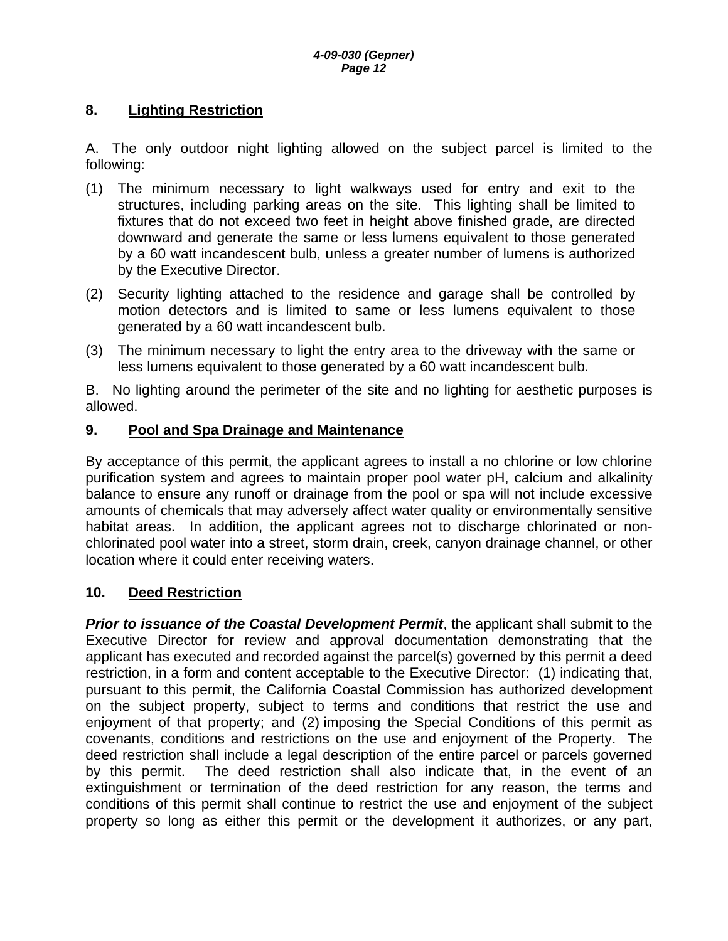### <span id="page-11-0"></span>**8. Lighting Restriction**

A. The only outdoor night lighting allowed on the subject parcel is limited to the following:

- (1) The minimum necessary to light walkways used for entry and exit to the structures, including parking areas on the site. This lighting shall be limited to fixtures that do not exceed two feet in height above finished grade, are directed downward and generate the same or less lumens equivalent to those generated by a 60 watt incandescent bulb, unless a greater number of lumens is authorized by the Executive Director.
- (2) Security lighting attached to the residence and garage shall be controlled by motion detectors and is limited to same or less lumens equivalent to those generated by a 60 watt incandescent bulb.
- (3) The minimum necessary to light the entry area to the driveway with the same or less lumens equivalent to those generated by a 60 watt incandescent bulb.

B. No lighting around the perimeter of the site and no lighting for aesthetic purposes is allowed.

#### **9. Pool and Spa Drainage and Maintenance**

By acceptance of this permit, the applicant agrees to install a no chlorine or low chlorine purification system and agrees to maintain proper pool water pH, calcium and alkalinity balance to ensure any runoff or drainage from the pool or spa will not include excessive amounts of chemicals that may adversely affect water quality or environmentally sensitive habitat areas. In addition, the applicant agrees not to discharge chlorinated or nonchlorinated pool water into a street, storm drain, creek, canyon drainage channel, or other location where it could enter receiving waters.

#### **10. Deed Restriction**

*Prior to issuance of the Coastal Development Permit*, the applicant shall submit to the Executive Director for review and approval documentation demonstrating that the applicant has executed and recorded against the parcel(s) governed by this permit a deed restriction, in a form and content acceptable to the Executive Director: (1) indicating that, pursuant to this permit, the California Coastal Commission has authorized development on the subject property, subject to terms and conditions that restrict the use and enjoyment of that property; and (2) imposing the Special Conditions of this permit as covenants, conditions and restrictions on the use and enjoyment of the Property. The deed restriction shall include a legal description of the entire parcel or parcels governed by this permit. The deed restriction shall also indicate that, in the event of an extinguishment or termination of the deed restriction for any reason, the terms and conditions of this permit shall continue to restrict the use and enjoyment of the subject property so long as either this permit or the development it authorizes, or any part,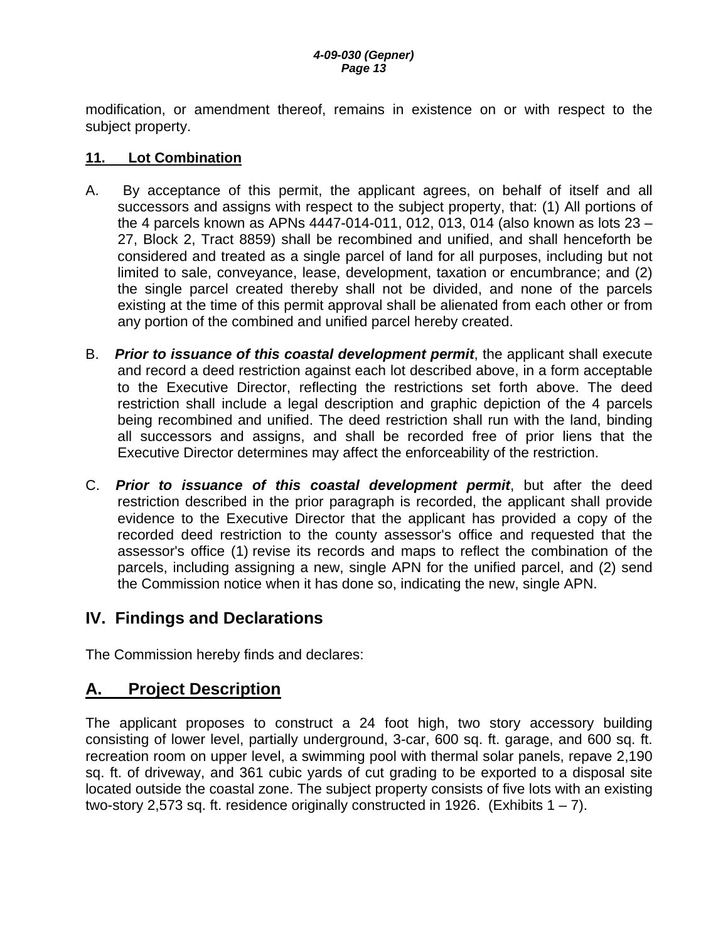<span id="page-12-0"></span>modification, or amendment thereof, remains in existence on or with respect to the subject property.

#### **11. Lot Combination**

- A. By acceptance of this permit, the applicant agrees, on behalf of itself and all successors and assigns with respect to the subject property, that: (1) All portions of the 4 parcels known as APNs 4447-014-011, 012, 013, 014 (also known as lots 23 – 27, Block 2, Tract 8859) shall be recombined and unified, and shall henceforth be considered and treated as a single parcel of land for all purposes, including but not limited to sale, conveyance, lease, development, taxation or encumbrance; and (2) the single parcel created thereby shall not be divided, and none of the parcels existing at the time of this permit approval shall be alienated from each other or from any portion of the combined and unified parcel hereby created.
- B. *Prior to issuance of this coastal development permit*, the applicant shall execute and record a deed restriction against each lot described above, in a form acceptable to the Executive Director, reflecting the restrictions set forth above. The deed restriction shall include a legal description and graphic depiction of the 4 parcels being recombined and unified. The deed restriction shall run with the land, binding all successors and assigns, and shall be recorded free of prior liens that the Executive Director determines may affect the enforceability of the restriction.
- C. *Prior to issuance of this coastal development permit*, but after the deed restriction described in the prior paragraph is recorded, the applicant shall provide evidence to the Executive Director that the applicant has provided a copy of the recorded deed restriction to the county assessor's office and requested that the assessor's office (1) revise its records and maps to reflect the combination of the parcels, including assigning a new, single APN for the unified parcel, and (2) send the Commission notice when it has done so, indicating the new, single APN.

## **IV. Findings and Declarations**

The Commission hereby finds and declares:

## **A. Project Description**

The applicant proposes to construct a 24 foot high, two story accessory building consisting of lower level, partially underground, 3-car, 600 sq. ft. garage, and 600 sq. ft. recreation room on upper level, a swimming pool with thermal solar panels, repave 2,190 sq. ft. of driveway, and 361 cubic yards of cut grading to be exported to a disposal site located outside the coastal zone. The subject property consists of five lots with an existing two-story 2,573 sq. ft. residence originally constructed in 1926. (Exhibits  $1 - 7$ ).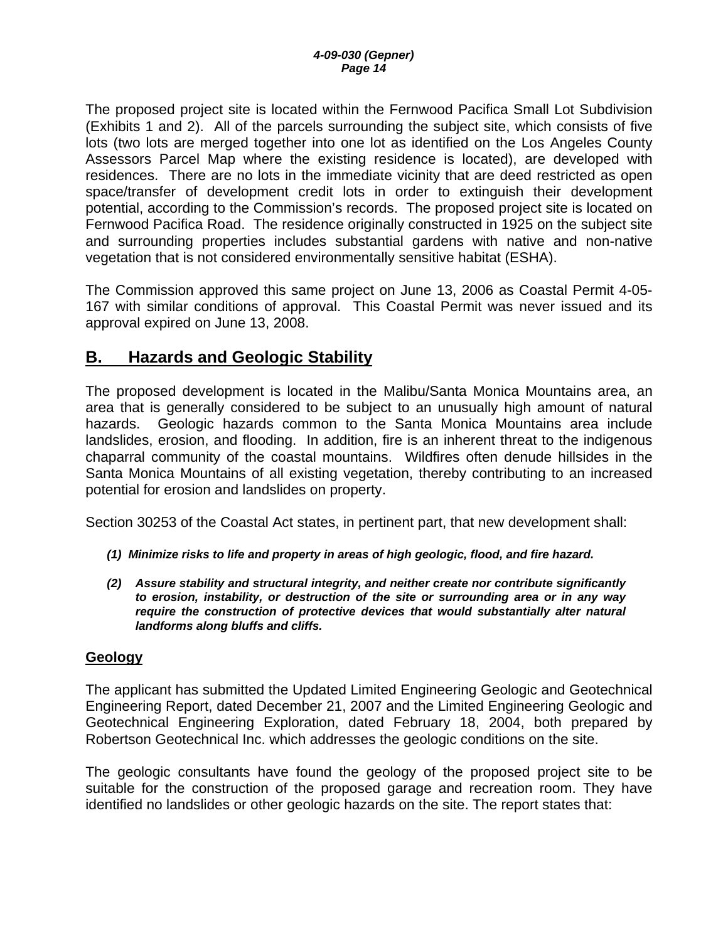<span id="page-13-0"></span>The proposed project site is located within the Fernwood Pacifica Small Lot Subdivision (Exhibits 1 and 2). All of the parcels surrounding the subject site, which consists of five lots (two lots are merged together into one lot as identified on the Los Angeles County Assessors Parcel Map where the existing residence is located), are developed with residences. There are no lots in the immediate vicinity that are deed restricted as open space/transfer of development credit lots in order to extinguish their development potential, according to the Commission's records. The proposed project site is located on Fernwood Pacifica Road. The residence originally constructed in 1925 on the subject site and surrounding properties includes substantial gardens with native and non-native vegetation that is not considered environmentally sensitive habitat (ESHA).

The Commission approved this same project on June 13, 2006 as Coastal Permit 4-05- 167 with similar conditions of approval. This Coastal Permit was never issued and its approval expired on June 13, 2008.

## **B. Hazards and Geologic Stability**

The proposed development is located in the Malibu/Santa Monica Mountains area, an area that is generally considered to be subject to an unusually high amount of natural hazards. Geologic hazards common to the Santa Monica Mountains area include landslides, erosion, and flooding. In addition, fire is an inherent threat to the indigenous chaparral community of the coastal mountains. Wildfires often denude hillsides in the Santa Monica Mountains of all existing vegetation, thereby contributing to an increased potential for erosion and landslides on property.

Section 30253 of the Coastal Act states, in pertinent part, that new development shall:

- *(1) Minimize risks to life and property in areas of high geologic, flood, and fire hazard.*
- *(2) Assure stability and structural integrity, and neither create nor contribute significantly to erosion, instability, or destruction of the site or surrounding area or in any way require the construction of protective devices that would substantially alter natural landforms along bluffs and cliffs.*

#### **Geology**

The applicant has submitted the Updated Limited Engineering Geologic and Geotechnical Engineering Report, dated December 21, 2007 and the Limited Engineering Geologic and Geotechnical Engineering Exploration, dated February 18, 2004, both prepared by Robertson Geotechnical Inc. which addresses the geologic conditions on the site.

The geologic consultants have found the geology of the proposed project site to be suitable for the construction of the proposed garage and recreation room. They have identified no landslides or other geologic hazards on the site. The report states that: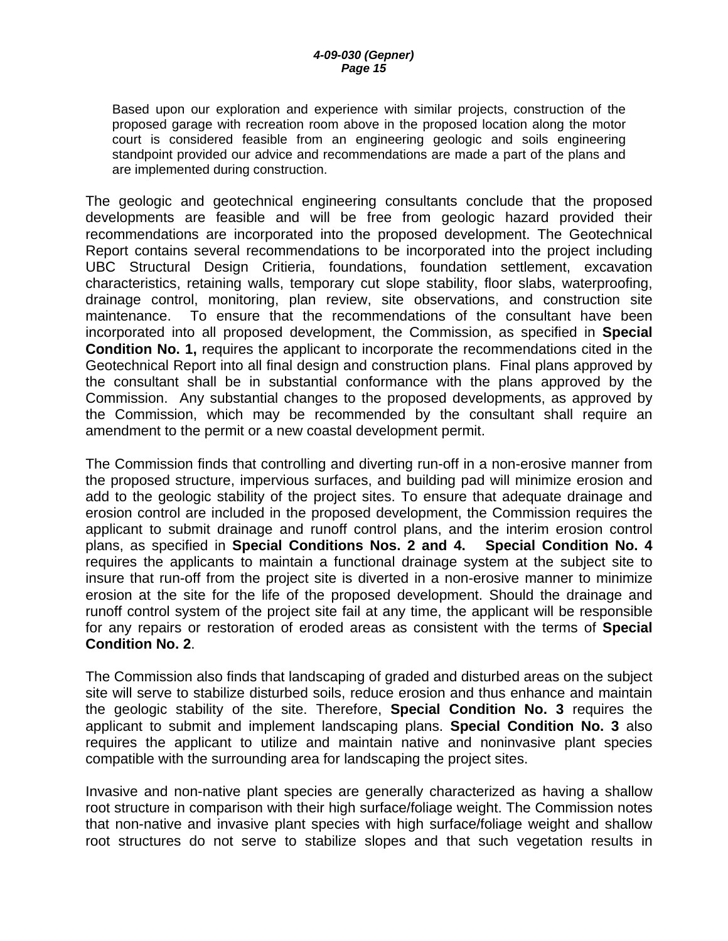Based upon our exploration and experience with similar projects, construction of the proposed garage with recreation room above in the proposed location along the motor court is considered feasible from an engineering geologic and soils engineering standpoint provided our advice and recommendations are made a part of the plans and are implemented during construction.

The geologic and geotechnical engineering consultants conclude that the proposed developments are feasible and will be free from geologic hazard provided their recommendations are incorporated into the proposed development. The Geotechnical Report contains several recommendations to be incorporated into the project including UBC Structural Design Critieria, foundations, foundation settlement, excavation characteristics, retaining walls, temporary cut slope stability, floor slabs, waterproofing, drainage control, monitoring, plan review, site observations, and construction site maintenance. To ensure that the recommendations of the consultant have been incorporated into all proposed development, the Commission, as specified in **Special Condition No. 1,** requires the applicant to incorporate the recommendations cited in the Geotechnical Report into all final design and construction plans. Final plans approved by the consultant shall be in substantial conformance with the plans approved by the Commission. Any substantial changes to the proposed developments, as approved by the Commission, which may be recommended by the consultant shall require an amendment to the permit or a new coastal development permit.

The Commission finds that controlling and diverting run-off in a non-erosive manner from the proposed structure, impervious surfaces, and building pad will minimize erosion and add to the geologic stability of the project sites. To ensure that adequate drainage and erosion control are included in the proposed development, the Commission requires the applicant to submit drainage and runoff control plans, and the interim erosion control plans, as specified in **Special Conditions Nos. 2 and 4. Special Condition No. 4** requires the applicants to maintain a functional drainage system at the subject site to insure that run-off from the project site is diverted in a non-erosive manner to minimize erosion at the site for the life of the proposed development. Should the drainage and runoff control system of the project site fail at any time, the applicant will be responsible for any repairs or restoration of eroded areas as consistent with the terms of **Special Condition No. 2**.

The Commission also finds that landscaping of graded and disturbed areas on the subject site will serve to stabilize disturbed soils, reduce erosion and thus enhance and maintain the geologic stability of the site. Therefore, **Special Condition No. 3** requires the applicant to submit and implement landscaping plans. **Special Condition No. 3** also requires the applicant to utilize and maintain native and noninvasive plant species compatible with the surrounding area for landscaping the project sites.

Invasive and non-native plant species are generally characterized as having a shallow root structure in comparison with their high surface/foliage weight. The Commission notes that non-native and invasive plant species with high surface/foliage weight and shallow root structures do not serve to stabilize slopes and that such vegetation results in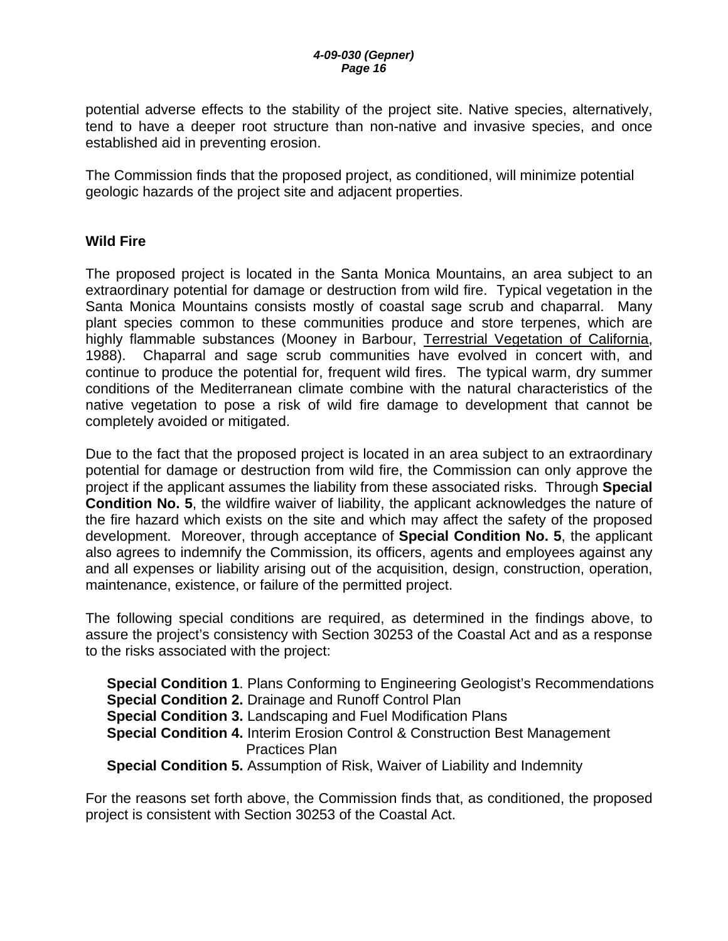potential adverse effects to the stability of the project site. Native species, alternatively, tend to have a deeper root structure than non-native and invasive species, and once established aid in preventing erosion.

The Commission finds that the proposed project, as conditioned, will minimize potential geologic hazards of the project site and adjacent properties.

#### **Wild Fire**

The proposed project is located in the Santa Monica Mountains, an area subject to an extraordinary potential for damage or destruction from wild fire. Typical vegetation in the Santa Monica Mountains consists mostly of coastal sage scrub and chaparral. Many plant species common to these communities produce and store terpenes, which are highly flammable substances (Mooney in Barbour, Terrestrial Vegetation of California, 1988). Chaparral and sage scrub communities have evolved in concert with, and continue to produce the potential for, frequent wild fires. The typical warm, dry summer conditions of the Mediterranean climate combine with the natural characteristics of the native vegetation to pose a risk of wild fire damage to development that cannot be completely avoided or mitigated.

Due to the fact that the proposed project is located in an area subject to an extraordinary potential for damage or destruction from wild fire, the Commission can only approve the project if the applicant assumes the liability from these associated risks. Through **Special Condition No. 5**, the wildfire waiver of liability, the applicant acknowledges the nature of the fire hazard which exists on the site and which may affect the safety of the proposed development. Moreover, through acceptance of **Special Condition No. 5**, the applicant also agrees to indemnify the Commission, its officers, agents and employees against any and all expenses or liability arising out of the acquisition, design, construction, operation, maintenance, existence, or failure of the permitted project.

The following special conditions are required, as determined in the findings above, to assure the project's consistency with Section 30253 of the Coastal Act and as a response to the risks associated with the project:

| <b>Special Condition 1. Plans Conforming to Engineering Geologist's Recommendations</b> |
|-----------------------------------------------------------------------------------------|
| <b>Special Condition 2. Drainage and Runoff Control Plan</b>                            |
| <b>Special Condition 3. Landscaping and Fuel Modification Plans</b>                     |
| <b>Special Condition 4.</b> Interim Erosion Control & Construction Best Management      |
| <b>Practices Plan</b>                                                                   |
| <b>Special Condition 5.</b> Assumption of Risk, Waiver of Liability and Indemnity       |

For the reasons set forth above, the Commission finds that, as conditioned, the proposed project is consistent with Section 30253 of the Coastal Act.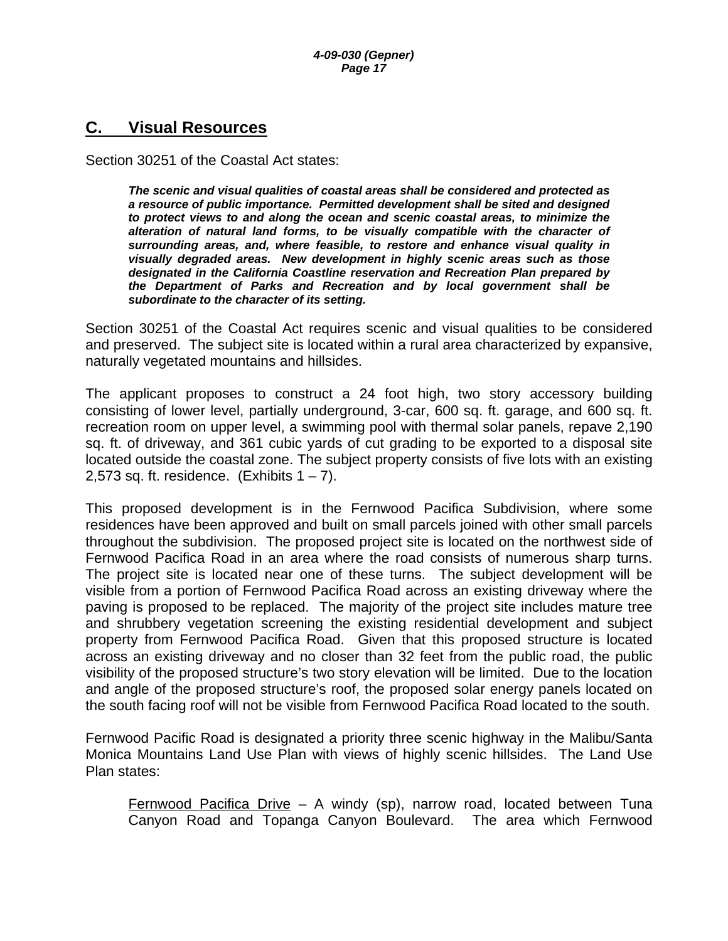### <span id="page-16-0"></span>**C. Visual Resources**

Section 30251 of the Coastal Act states:

*The scenic and visual qualities of coastal areas shall be considered and protected as a resource of public importance. Permitted development shall be sited and designed to protect views to and along the ocean and scenic coastal areas, to minimize the alteration of natural land forms, to be visually compatible with the character of surrounding areas, and, where feasible, to restore and enhance visual quality in visually degraded areas. New development in highly scenic areas such as those designated in the California Coastline reservation and Recreation Plan prepared by the Department of Parks and Recreation and by local government shall be subordinate to the character of its setting.* 

Section 30251 of the Coastal Act requires scenic and visual qualities to be considered and preserved. The subject site is located within a rural area characterized by expansive, naturally vegetated mountains and hillsides.

The applicant proposes to construct a 24 foot high, two story accessory building consisting of lower level, partially underground, 3-car, 600 sq. ft. garage, and 600 sq. ft. recreation room on upper level, a swimming pool with thermal solar panels, repave 2,190 sq. ft. of driveway, and 361 cubic yards of cut grading to be exported to a disposal site located outside the coastal zone. The subject property consists of five lots with an existing 2,573 sq. ft. residence. (Exhibits  $1 - 7$ ).

This proposed development is in the Fernwood Pacifica Subdivision, where some residences have been approved and built on small parcels joined with other small parcels throughout the subdivision. The proposed project site is located on the northwest side of Fernwood Pacifica Road in an area where the road consists of numerous sharp turns. The project site is located near one of these turns. The subject development will be visible from a portion of Fernwood Pacifica Road across an existing driveway where the paving is proposed to be replaced. The majority of the project site includes mature tree and shrubbery vegetation screening the existing residential development and subject property from Fernwood Pacifica Road. Given that this proposed structure is located across an existing driveway and no closer than 32 feet from the public road, the public visibility of the proposed structure's two story elevation will be limited. Due to the location and angle of the proposed structure's roof, the proposed solar energy panels located on the south facing roof will not be visible from Fernwood Pacifica Road located to the south.

Fernwood Pacific Road is designated a priority three scenic highway in the Malibu/Santa Monica Mountains Land Use Plan with views of highly scenic hillsides. The Land Use Plan states:

Fernwood Pacifica Drive – A windy (sp), narrow road, located between Tuna Canyon Road and Topanga Canyon Boulevard. The area which Fernwood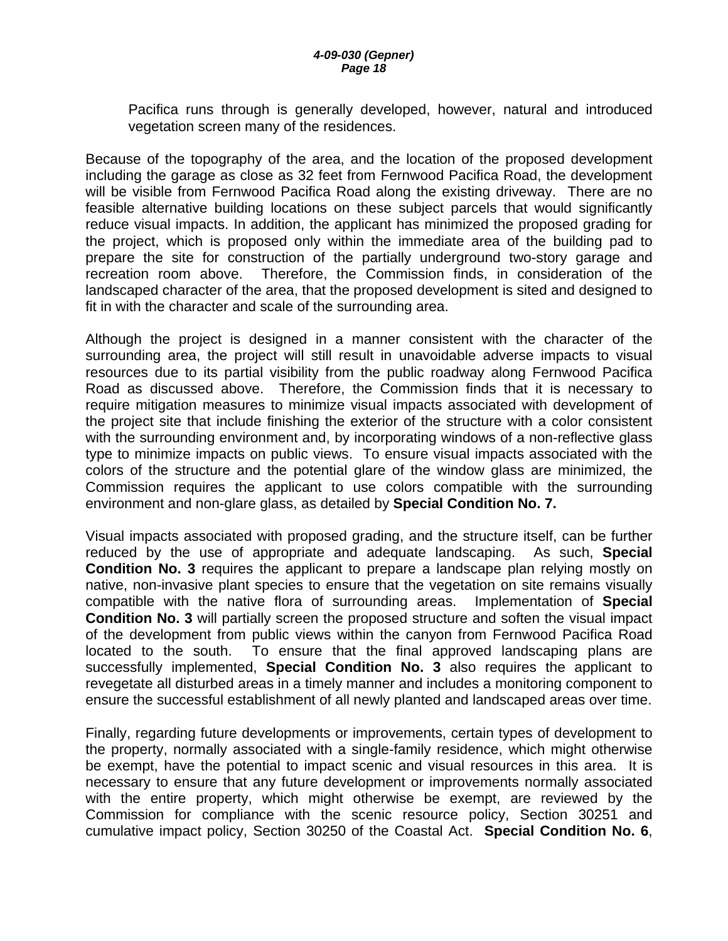Pacifica runs through is generally developed, however, natural and introduced vegetation screen many of the residences.

Because of the topography of the area, and the location of the proposed development including the garage as close as 32 feet from Fernwood Pacifica Road, the development will be visible from Fernwood Pacifica Road along the existing driveway. There are no feasible alternative building locations on these subject parcels that would significantly reduce visual impacts. In addition, the applicant has minimized the proposed grading for the project, which is proposed only within the immediate area of the building pad to prepare the site for construction of the partially underground two-story garage and recreation room above. Therefore, the Commission finds, in consideration of the landscaped character of the area, that the proposed development is sited and designed to fit in with the character and scale of the surrounding area.

Although the project is designed in a manner consistent with the character of the surrounding area, the project will still result in unavoidable adverse impacts to visual resources due to its partial visibility from the public roadway along Fernwood Pacifica Road as discussed above. Therefore, the Commission finds that it is necessary to require mitigation measures to minimize visual impacts associated with development of the project site that include finishing the exterior of the structure with a color consistent with the surrounding environment and, by incorporating windows of a non-reflective glass type to minimize impacts on public views. To ensure visual impacts associated with the colors of the structure and the potential glare of the window glass are minimized, the Commission requires the applicant to use colors compatible with the surrounding environment and non-glare glass, as detailed by **Special Condition No. 7.**

Visual impacts associated with proposed grading, and the structure itself, can be further reduced by the use of appropriate and adequate landscaping. As such, **Special Condition No. 3** requires the applicant to prepare a landscape plan relying mostly on native, non-invasive plant species to ensure that the vegetation on site remains visually compatible with the native flora of surrounding areas. Implementation of **Special Condition No. 3** will partially screen the proposed structure and soften the visual impact of the development from public views within the canyon from Fernwood Pacifica Road located to the south. To ensure that the final approved landscaping plans are successfully implemented, **Special Condition No. 3** also requires the applicant to revegetate all disturbed areas in a timely manner and includes a monitoring component to ensure the successful establishment of all newly planted and landscaped areas over time.

Finally, regarding future developments or improvements, certain types of development to the property, normally associated with a single-family residence, which might otherwise be exempt, have the potential to impact scenic and visual resources in this area. It is necessary to ensure that any future development or improvements normally associated with the entire property, which might otherwise be exempt, are reviewed by the Commission for compliance with the scenic resource policy, Section 30251 and cumulative impact policy, Section 30250 of the Coastal Act. **Special Condition No. 6**,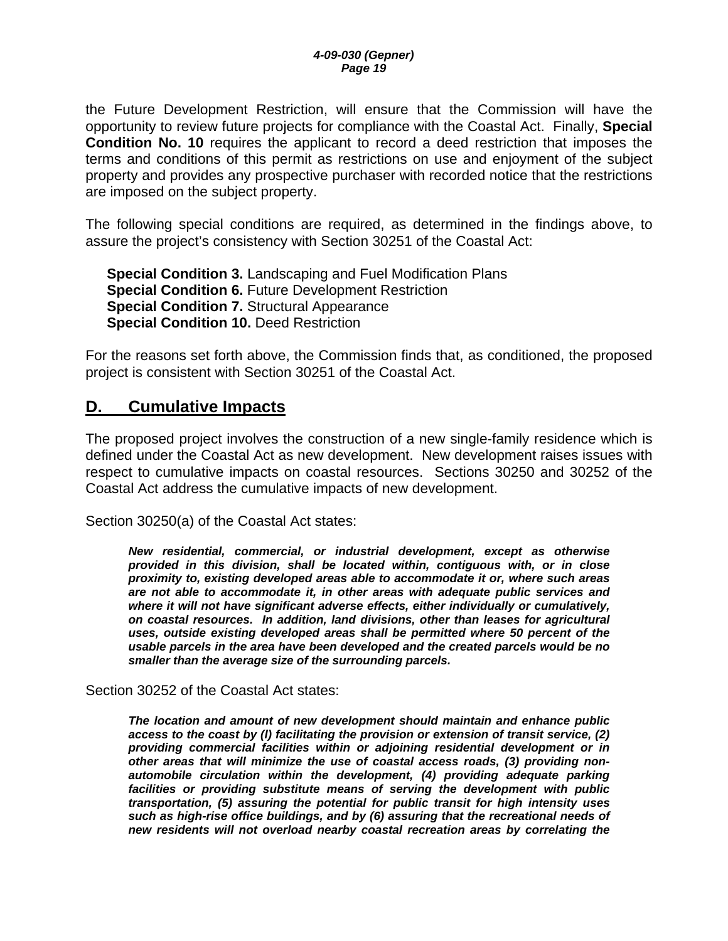<span id="page-18-0"></span>the Future Development Restriction, will ensure that the Commission will have the opportunity to review future projects for compliance with the Coastal Act. Finally, **Special Condition No. 10** requires the applicant to record a deed restriction that imposes the terms and conditions of this permit as restrictions on use and enjoyment of the subject property and provides any prospective purchaser with recorded notice that the restrictions are imposed on the subject property.

The following special conditions are required, as determined in the findings above, to assure the project's consistency with Section 30251 of the Coastal Act:

**Special Condition 3.** Landscaping and Fuel Modification Plans **Special Condition 6. Future Development Restriction Special Condition 7.** Structural Appearance **Special Condition 10.** Deed Restriction

For the reasons set forth above, the Commission finds that, as conditioned, the proposed project is consistent with Section 30251 of the Coastal Act.

## **D. Cumulative Impacts**

The proposed project involves the construction of a new single-family residence which is defined under the Coastal Act as new development. New development raises issues with respect to cumulative impacts on coastal resources. Sections 30250 and 30252 of the Coastal Act address the cumulative impacts of new development.

Section 30250(a) of the Coastal Act states:

*New residential, commercial, or industrial development, except as otherwise provided in this division, shall be located within, contiguous with, or in close proximity to, existing developed areas able to accommodate it or, where such areas are not able to accommodate it, in other areas with adequate public services and where it will not have significant adverse effects, either individually or cumulatively, on coastal resources. In addition, land divisions, other than leases for agricultural uses, outside existing developed areas shall be permitted where 50 percent of the usable parcels in the area have been developed and the created parcels would be no smaller than the average size of the surrounding parcels.*

Section 30252 of the Coastal Act states:

*The location and amount of new development should maintain and enhance public access to the coast by (l) facilitating the provision or extension of transit service, (2) providing commercial facilities within or adjoining residential development or in other areas that will minimize the use of coastal access roads, (3) providing nonautomobile circulation within the development, (4) providing adequate parking*  facilities or providing substitute means of serving the development with public *transportation, (5) assuring the potential for public transit for high intensity uses such as high-rise office buildings, and by (6) assuring that the recreational needs of new residents will not overload nearby coastal recreation areas by correlating the*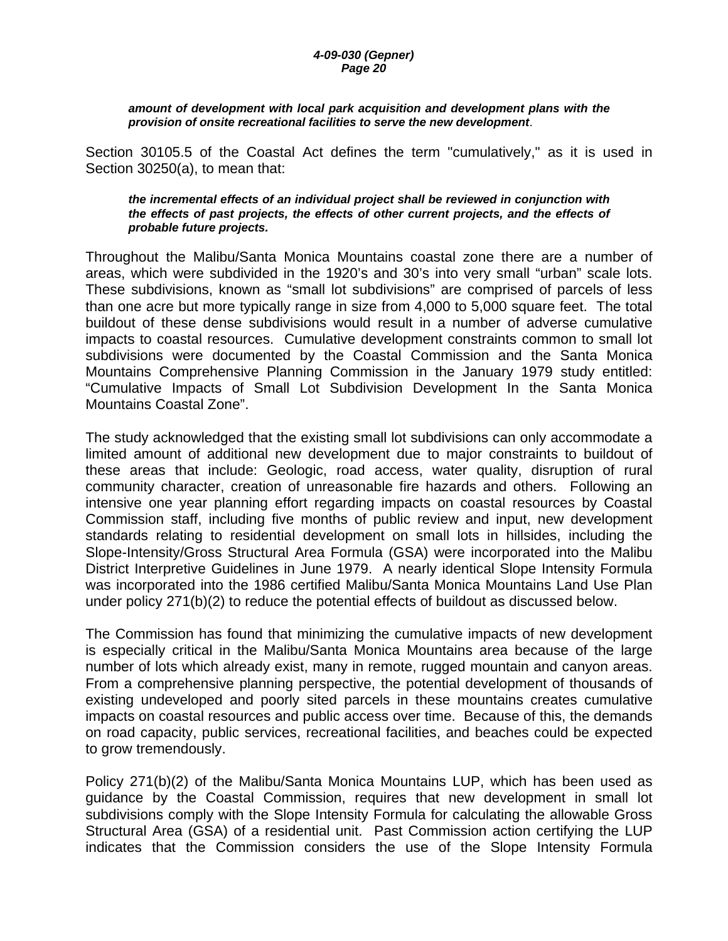#### *4-09-030 (Gepner) Page 20*

#### *amount of development with local park acquisition and development plans with the provision of onsite recreational facilities to serve the new development*.

Section 30105.5 of the Coastal Act defines the term "cumulatively," as it is used in Section 30250(a), to mean that:

#### *the incremental effects of an individual project shall be reviewed in conjunction with the effects of past projects, the effects of other current projects, and the effects of probable future projects.*

Throughout the Malibu/Santa Monica Mountains coastal zone there are a number of areas, which were subdivided in the 1920's and 30's into very small "urban" scale lots. These subdivisions, known as "small lot subdivisions" are comprised of parcels of less than one acre but more typically range in size from 4,000 to 5,000 square feet. The total buildout of these dense subdivisions would result in a number of adverse cumulative impacts to coastal resources. Cumulative development constraints common to small lot subdivisions were documented by the Coastal Commission and the Santa Monica Mountains Comprehensive Planning Commission in the January 1979 study entitled: "Cumulative Impacts of Small Lot Subdivision Development In the Santa Monica Mountains Coastal Zone".

The study acknowledged that the existing small lot subdivisions can only accommodate a limited amount of additional new development due to major constraints to buildout of these areas that include: Geologic, road access, water quality, disruption of rural community character, creation of unreasonable fire hazards and others. Following an intensive one year planning effort regarding impacts on coastal resources by Coastal Commission staff, including five months of public review and input, new development standards relating to residential development on small lots in hillsides, including the Slope-Intensity/Gross Structural Area Formula (GSA) were incorporated into the Malibu District Interpretive Guidelines in June 1979. A nearly identical Slope Intensity Formula was incorporated into the 1986 certified Malibu/Santa Monica Mountains Land Use Plan under policy 271(b)(2) to reduce the potential effects of buildout as discussed below.

The Commission has found that minimizing the cumulative impacts of new development is especially critical in the Malibu/Santa Monica Mountains area because of the large number of lots which already exist, many in remote, rugged mountain and canyon areas. From a comprehensive planning perspective, the potential development of thousands of existing undeveloped and poorly sited parcels in these mountains creates cumulative impacts on coastal resources and public access over time. Because of this, the demands on road capacity, public services, recreational facilities, and beaches could be expected to grow tremendously.

Policy 271(b)(2) of the Malibu/Santa Monica Mountains LUP, which has been used as guidance by the Coastal Commission, requires that new development in small lot subdivisions comply with the Slope Intensity Formula for calculating the allowable Gross Structural Area (GSA) of a residential unit. Past Commission action certifying the LUP indicates that the Commission considers the use of the Slope Intensity Formula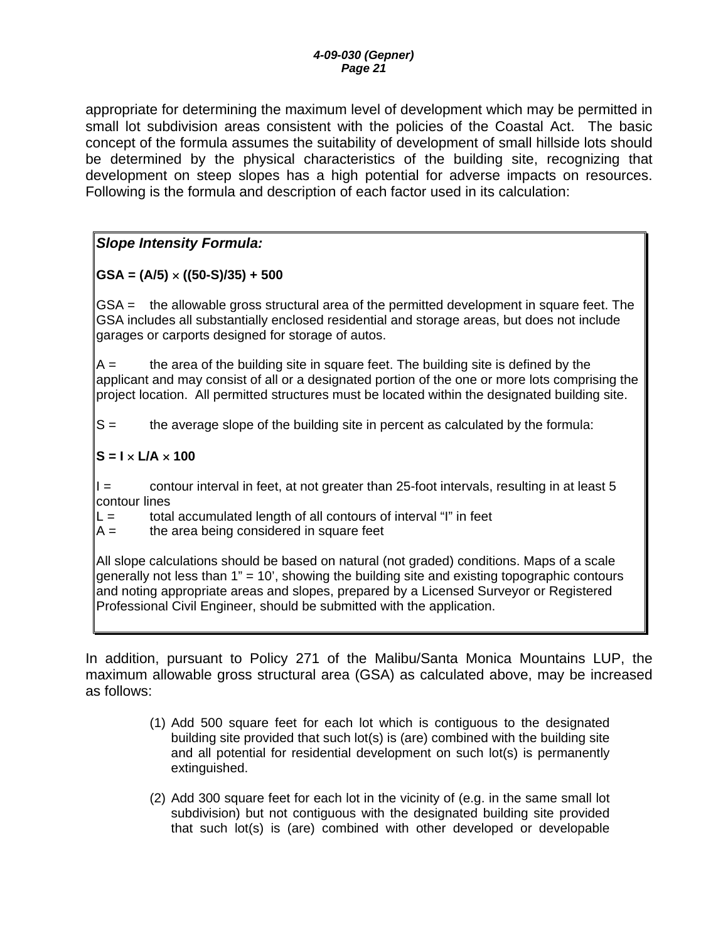appropriate for determining the maximum level of development which may be permitted in small lot subdivision areas consistent with the policies of the Coastal Act. The basic concept of the formula assumes the suitability of development of small hillside lots should be determined by the physical characteristics of the building site, recognizing that development on steep slopes has a high potential for adverse impacts on resources. Following is the formula and description of each factor used in its calculation:

*Slope Intensity Formula:* 

### **GSA = (A/5)** × **((50-S)/35) + 500**

GSA = the allowable gross structural area of the permitted development in square feet. The GSA includes all substantially enclosed residential and storage areas, but does not include garages or carports designed for storage of autos.

 $A =$  the area of the building site in square feet. The building site is defined by the applicant and may consist of all or a designated portion of the one or more lots comprising the project location. All permitted structures must be located within the designated building site.

S = the average slope of the building site in percent as calculated by the formula:

### **S = I** × **L/A** × **100**

I = contour interval in feet, at not greater than 25-foot intervals, resulting in at least 5 contour lines

 $L =$  total accumulated length of all contours of interval "I" in feet

 $A =$  the area being considered in square feet

All slope calculations should be based on natural (not graded) conditions. Maps of a scale generally not less than 1" = 10', showing the building site and existing topographic contours and noting appropriate areas and slopes, prepared by a Licensed Surveyor or Registered Professional Civil Engineer, should be submitted with the application.

In addition, pursuant to Policy 271 of the Malibu/Santa Monica Mountains LUP, the maximum allowable gross structural area (GSA) as calculated above, may be increased as follows:

- (1) Add 500 square feet for each lot which is contiguous to the designated building site provided that such lot(s) is (are) combined with the building site and all potential for residential development on such lot(s) is permanently extinguished.
- (2) Add 300 square feet for each lot in the vicinity of (e.g. in the same small lot subdivision) but not contiguous with the designated building site provided that such lot(s) is (are) combined with other developed or developable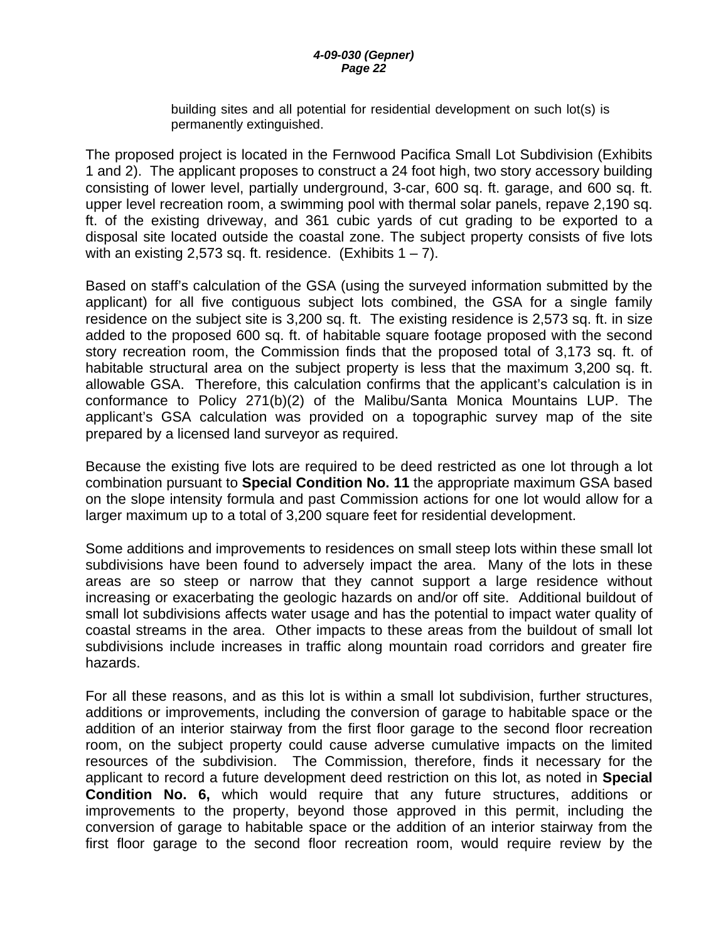building sites and all potential for residential development on such lot(s) is permanently extinguished.

The proposed project is located in the Fernwood Pacifica Small Lot Subdivision (Exhibits 1 and 2). The applicant proposes to construct a 24 foot high, two story accessory building consisting of lower level, partially underground, 3-car, 600 sq. ft. garage, and 600 sq. ft. upper level recreation room, a swimming pool with thermal solar panels, repave 2,190 sq. ft. of the existing driveway, and 361 cubic yards of cut grading to be exported to a disposal site located outside the coastal zone. The subject property consists of five lots with an existing 2,573 sq. ft. residence. (Exhibits  $1 - 7$ ).

Based on staff's calculation of the GSA (using the surveyed information submitted by the applicant) for all five contiguous subject lots combined, the GSA for a single family residence on the subject site is 3,200 sq. ft. The existing residence is 2,573 sq. ft. in size added to the proposed 600 sq. ft. of habitable square footage proposed with the second story recreation room, the Commission finds that the proposed total of 3,173 sq. ft. of habitable structural area on the subject property is less that the maximum 3,200 sq. ft. allowable GSA. Therefore, this calculation confirms that the applicant's calculation is in conformance to Policy 271(b)(2) of the Malibu/Santa Monica Mountains LUP. The applicant's GSA calculation was provided on a topographic survey map of the site prepared by a licensed land surveyor as required.

Because the existing five lots are required to be deed restricted as one lot through a lot combination pursuant to **Special Condition No. 11** the appropriate maximum GSA based on the slope intensity formula and past Commission actions for one lot would allow for a larger maximum up to a total of 3,200 square feet for residential development.

Some additions and improvements to residences on small steep lots within these small lot subdivisions have been found to adversely impact the area. Many of the lots in these areas are so steep or narrow that they cannot support a large residence without increasing or exacerbating the geologic hazards on and/or off site. Additional buildout of small lot subdivisions affects water usage and has the potential to impact water quality of coastal streams in the area. Other impacts to these areas from the buildout of small lot subdivisions include increases in traffic along mountain road corridors and greater fire hazards.

For all these reasons, and as this lot is within a small lot subdivision, further structures, additions or improvements, including the conversion of garage to habitable space or the addition of an interior stairway from the first floor garage to the second floor recreation room, on the subject property could cause adverse cumulative impacts on the limited resources of the subdivision. The Commission, therefore, finds it necessary for the applicant to record a future development deed restriction on this lot, as noted in **Special Condition No. 6,** which would require that any future structures, additions or improvements to the property, beyond those approved in this permit, including the conversion of garage to habitable space or the addition of an interior stairway from the first floor garage to the second floor recreation room, would require review by the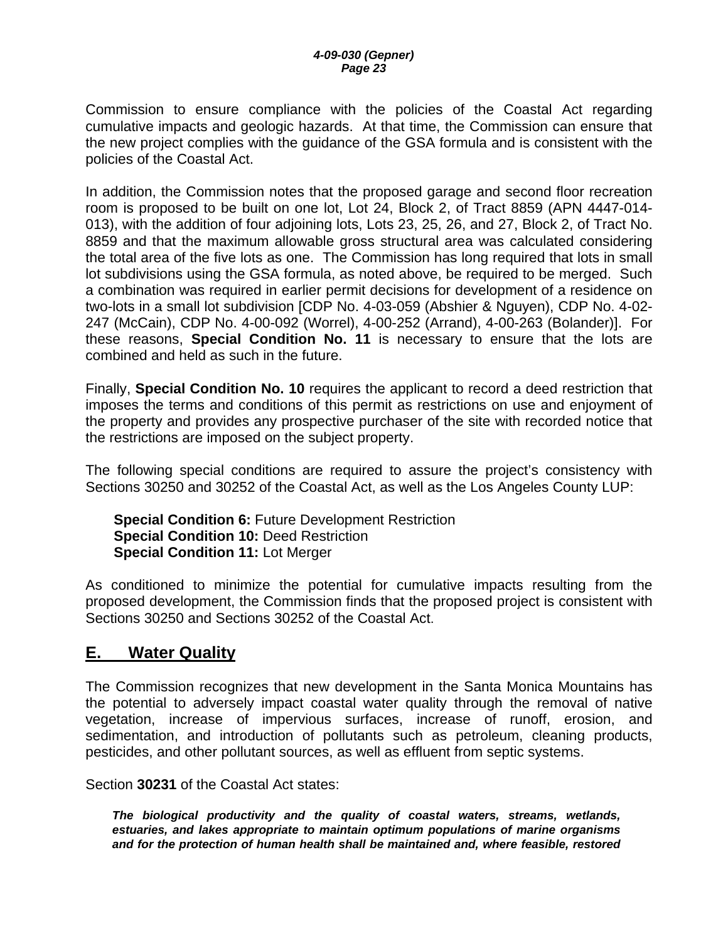<span id="page-22-0"></span>Commission to ensure compliance with the policies of the Coastal Act regarding cumulative impacts and geologic hazards. At that time, the Commission can ensure that the new project complies with the guidance of the GSA formula and is consistent with the policies of the Coastal Act.

In addition, the Commission notes that the proposed garage and second floor recreation room is proposed to be built on one lot, Lot 24, Block 2, of Tract 8859 (APN 4447-014- 013), with the addition of four adjoining lots, Lots 23, 25, 26, and 27, Block 2, of Tract No. 8859 and that the maximum allowable gross structural area was calculated considering the total area of the five lots as one. The Commission has long required that lots in small lot subdivisions using the GSA formula, as noted above, be required to be merged. Such a combination was required in earlier permit decisions for development of a residence on two-lots in a small lot subdivision [CDP No. 4-03-059 (Abshier & Nguyen), CDP No. 4-02- 247 (McCain), CDP No. 4-00-092 (Worrel), 4-00-252 (Arrand), 4-00-263 (Bolander)]. For these reasons, **Special Condition No. 11** is necessary to ensure that the lots are combined and held as such in the future.

Finally, **Special Condition No. 10** requires the applicant to record a deed restriction that imposes the terms and conditions of this permit as restrictions on use and enjoyment of the property and provides any prospective purchaser of the site with recorded notice that the restrictions are imposed on the subject property.

The following special conditions are required to assure the project's consistency with Sections 30250 and 30252 of the Coastal Act, as well as the Los Angeles County LUP:

**Special Condition 6:** Future Development Restriction **Special Condition 10:** Deed Restriction **Special Condition 11:** Lot Merger

As conditioned to minimize the potential for cumulative impacts resulting from the proposed development, the Commission finds that the proposed project is consistent with Sections 30250 and Sections 30252 of the Coastal Act.

## **E. Water Quality**

The Commission recognizes that new development in the Santa Monica Mountains has the potential to adversely impact coastal water quality through the removal of native vegetation, increase of impervious surfaces, increase of runoff, erosion, and sedimentation, and introduction of pollutants such as petroleum, cleaning products, pesticides, and other pollutant sources, as well as effluent from septic systems.

Section **30231** of the Coastal Act states:

*The biological productivity and the quality of coastal waters, streams, wetlands, estuaries, and lakes appropriate to maintain optimum populations of marine organisms and for the protection of human health shall be maintained and, where feasible, restored*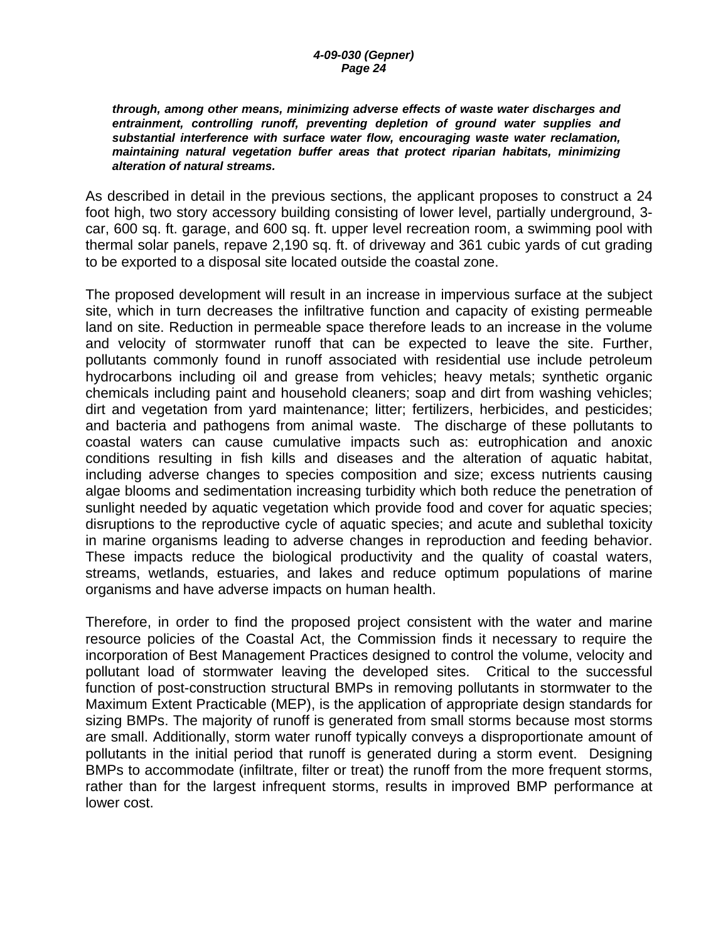#### *through, among other means, minimizing adverse effects of waste water discharges and entrainment, controlling runoff, preventing depletion of ground water supplies and substantial interference with surface water flow, encouraging waste water reclamation, maintaining natural vegetation buffer areas that protect riparian habitats, minimizing alteration of natural streams.*

As described in detail in the previous sections, the applicant proposes to construct a 24 foot high, two story accessory building consisting of lower level, partially underground, 3 car, 600 sq. ft. garage, and 600 sq. ft. upper level recreation room, a swimming pool with thermal solar panels, repave 2,190 sq. ft. of driveway and 361 cubic yards of cut grading to be exported to a disposal site located outside the coastal zone.

The proposed development will result in an increase in impervious surface at the subject site, which in turn decreases the infiltrative function and capacity of existing permeable land on site. Reduction in permeable space therefore leads to an increase in the volume and velocity of stormwater runoff that can be expected to leave the site. Further, pollutants commonly found in runoff associated with residential use include petroleum hydrocarbons including oil and grease from vehicles; heavy metals; synthetic organic chemicals including paint and household cleaners; soap and dirt from washing vehicles; dirt and vegetation from yard maintenance; litter; fertilizers, herbicides, and pesticides; and bacteria and pathogens from animal waste. The discharge of these pollutants to coastal waters can cause cumulative impacts such as: eutrophication and anoxic conditions resulting in fish kills and diseases and the alteration of aquatic habitat, including adverse changes to species composition and size; excess nutrients causing algae blooms and sedimentation increasing turbidity which both reduce the penetration of sunlight needed by aquatic vegetation which provide food and cover for aquatic species; disruptions to the reproductive cycle of aquatic species; and acute and sublethal toxicity in marine organisms leading to adverse changes in reproduction and feeding behavior. These impacts reduce the biological productivity and the quality of coastal waters, streams, wetlands, estuaries, and lakes and reduce optimum populations of marine organisms and have adverse impacts on human health.

Therefore, in order to find the proposed project consistent with the water and marine resource policies of the Coastal Act, the Commission finds it necessary to require the incorporation of Best Management Practices designed to control the volume, velocity and pollutant load of stormwater leaving the developed sites. Critical to the successful function of post-construction structural BMPs in removing pollutants in stormwater to the Maximum Extent Practicable (MEP), is the application of appropriate design standards for sizing BMPs. The majority of runoff is generated from small storms because most storms are small. Additionally, storm water runoff typically conveys a disproportionate amount of pollutants in the initial period that runoff is generated during a storm event. Designing BMPs to accommodate (infiltrate, filter or treat) the runoff from the more frequent storms, rather than for the largest infrequent storms, results in improved BMP performance at lower cost.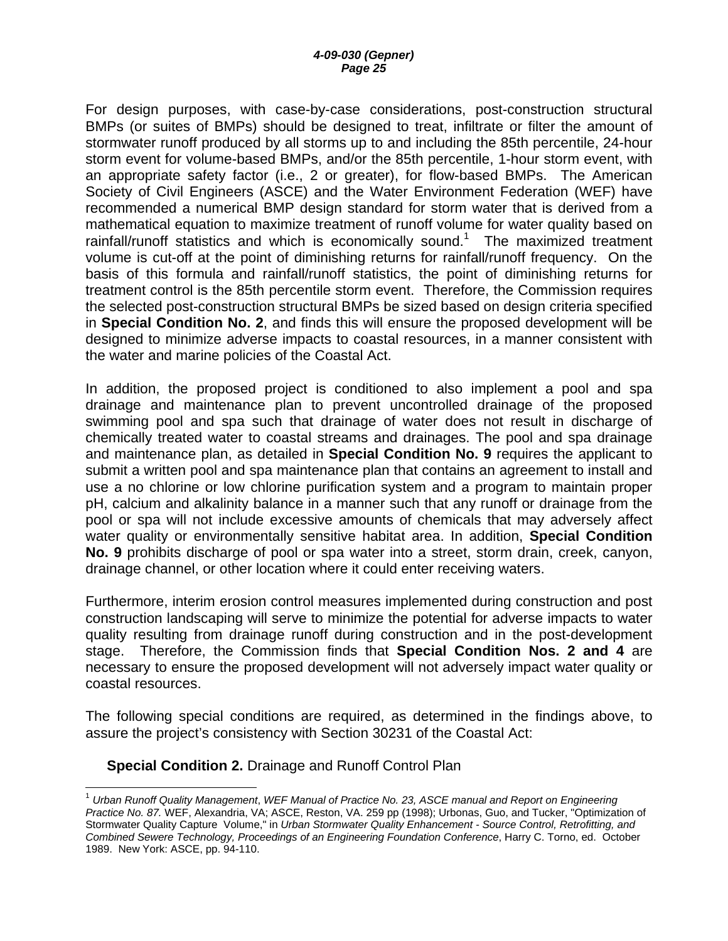For design purposes, with case-by-case considerations, post-construction structural BMPs (or suites of BMPs) should be designed to treat, infiltrate or filter the amount of stormwater runoff produced by all storms up to and including the 85th percentile, 24-hour storm event for volume-based BMPs, and/or the 85th percentile, 1-hour storm event, with an appropriate safety factor (i.e., 2 or greater), for flow-based BMPs. The American Society of Civil Engineers (ASCE) and the Water Environment Federation (WEF) have recommended a numerical BMP design standard for storm water that is derived from a mathematical equation to maximize treatment of runoff volume for water quality based on rainfall/runoff statistics and which is economically sound.<sup>[1](#page-24-0)</sup> The maximized treatment volume is cut-off at the point of diminishing returns for rainfall/runoff frequency. On the basis of this formula and rainfall/runoff statistics, the point of diminishing returns for treatment control is the 85th percentile storm event. Therefore, the Commission requires the selected post-construction structural BMPs be sized based on design criteria specified in **Special Condition No. 2**, and finds this will ensure the proposed development will be designed to minimize adverse impacts to coastal resources, in a manner consistent with the water and marine policies of the Coastal Act.

In addition, the proposed project is conditioned to also implement a pool and spa drainage and maintenance plan to prevent uncontrolled drainage of the proposed swimming pool and spa such that drainage of water does not result in discharge of chemically treated water to coastal streams and drainages. The pool and spa drainage and maintenance plan, as detailed in **Special Condition No. 9** requires the applicant to submit a written pool and spa maintenance plan that contains an agreement to install and use a no chlorine or low chlorine purification system and a program to maintain proper pH, calcium and alkalinity balance in a manner such that any runoff or drainage from the pool or spa will not include excessive amounts of chemicals that may adversely affect water quality or environmentally sensitive habitat area. In addition, **Special Condition No. 9** prohibits discharge of pool or spa water into a street, storm drain, creek, canyon, drainage channel, or other location where it could enter receiving waters.

Furthermore, interim erosion control measures implemented during construction and post construction landscaping will serve to minimize the potential for adverse impacts to water quality resulting from drainage runoff during construction and in the post-development stage. Therefore, the Commission finds that **Special Condition Nos. 2 and 4** are necessary to ensure the proposed development will not adversely impact water quality or coastal resources.

The following special conditions are required, as determined in the findings above, to assure the project's consistency with Section 30231 of the Coastal Act:

#### **Special Condition 2.** Drainage and Runoff Control Plan

 $\overline{a}$ 

<span id="page-24-0"></span><sup>1</sup> *Urban Runoff Quality Management*, *WEF Manual of Practice No. 23, ASCE manual and Report on Engineering Practice No. 87.* WEF, Alexandria, VA; ASCE, Reston, VA. 259 pp (1998); Urbonas, Guo, and Tucker, "Optimization of Stormwater Quality Capture Volume," in *Urban Stormwater Quality Enhancement - Source Control, Retrofitting, and Combined Sewere Technology, Proceedings of an Engineering Foundation Conference*, Harry C. Torno, ed. October 1989. New York: ASCE, pp. 94-110.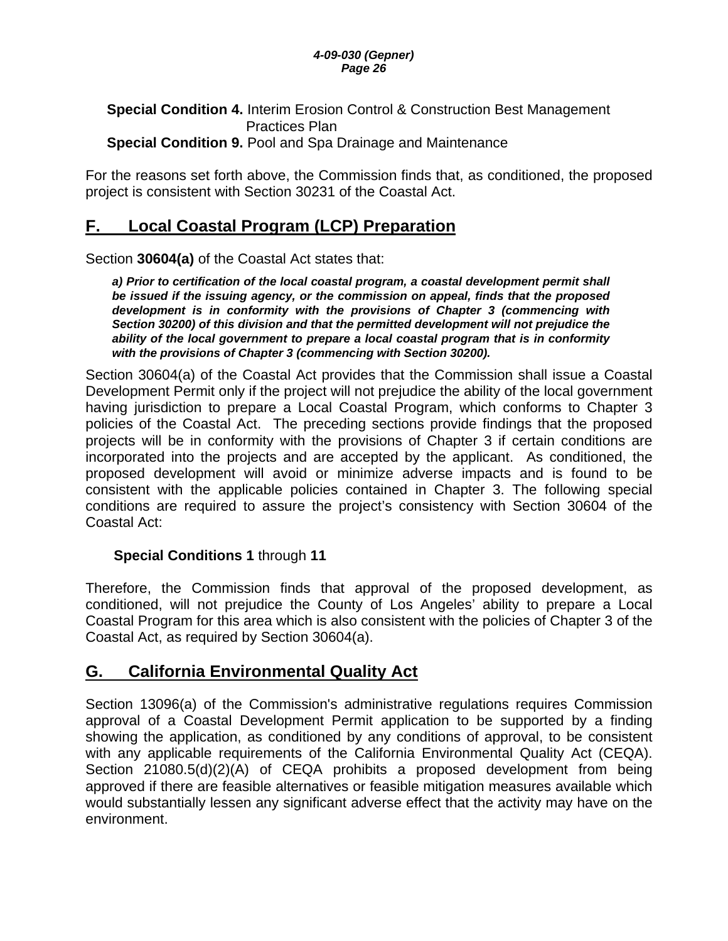#### *4-09-030 (Gepner) Page 26*

### <span id="page-25-0"></span>**Special Condition 4.** Interim Erosion Control & Construction Best Management Practices Plan **Special Condition 9.** Pool and Spa Drainage and Maintenance

For the reasons set forth above, the Commission finds that, as conditioned, the proposed project is consistent with Section 30231 of the Coastal Act.

## **F. Local Coastal Program (LCP) Preparation**

Section **30604(a)** of the Coastal Act states that:

a) Prior to certification of the local coastal program, a coastal development permit shall *be issued if the issuing agency, or the commission on appeal, finds that the proposed development is in conformity with the provisions of Chapter 3 (commencing with Section 30200) of this division and that the permitted development will not prejudice the ability of the local government to prepare a local coastal program that is in conformity with the provisions of Chapter 3 (commencing with Section 30200).* 

Section 30604(a) of the Coastal Act provides that the Commission shall issue a Coastal Development Permit only if the project will not prejudice the ability of the local government having jurisdiction to prepare a Local Coastal Program, which conforms to Chapter 3 policies of the Coastal Act. The preceding sections provide findings that the proposed projects will be in conformity with the provisions of Chapter 3 if certain conditions are incorporated into the projects and are accepted by the applicant. As conditioned, the proposed development will avoid or minimize adverse impacts and is found to be consistent with the applicable policies contained in Chapter 3. The following special conditions are required to assure the project's consistency with Section 30604 of the Coastal Act:

### **Special Conditions 1** through **11**

Therefore, the Commission finds that approval of the proposed development, as conditioned, will not prejudice the County of Los Angeles' ability to prepare a Local Coastal Program for this area which is also consistent with the policies of Chapter 3 of the Coastal Act, as required by Section 30604(a).

## **G. California Environmental Quality Act**

Section 13096(a) of the Commission's administrative regulations requires Commission approval of a Coastal Development Permit application to be supported by a finding showing the application, as conditioned by any conditions of approval, to be consistent with any applicable requirements of the California Environmental Quality Act (CEQA). Section 21080.5(d)(2)(A) of CEQA prohibits a proposed development from being approved if there are feasible alternatives or feasible mitigation measures available which would substantially lessen any significant adverse effect that the activity may have on the environment.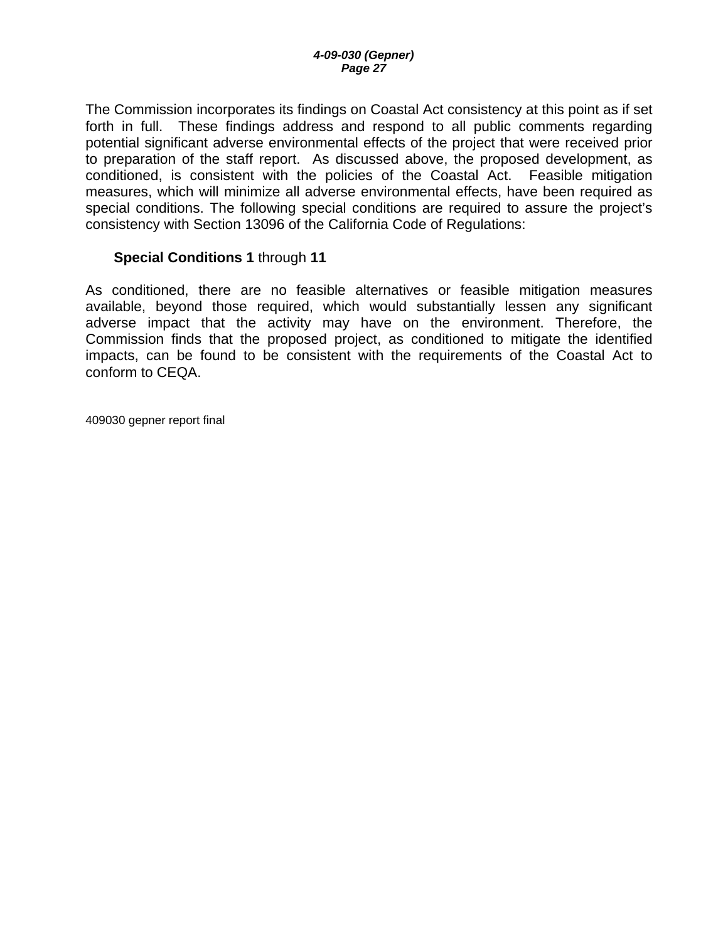The Commission incorporates its findings on Coastal Act consistency at this point as if set forth in full. These findings address and respond to all public comments regarding potential significant adverse environmental effects of the project that were received prior to preparation of the staff report. As discussed above, the proposed development, as conditioned, is consistent with the policies of the Coastal Act. Feasible mitigation measures, which will minimize all adverse environmental effects, have been required as special conditions. The following special conditions are required to assure the project's consistency with Section 13096 of the California Code of Regulations:

#### **Special Conditions 1** through **11**

As conditioned, there are no feasible alternatives or feasible mitigation measures available, beyond those required, which would substantially lessen any significant adverse impact that the activity may have on the environment. Therefore, the Commission finds that the proposed project, as conditioned to mitigate the identified impacts, can be found to be consistent with the requirements of the Coastal Act to conform to CEQA.

409030 gepner report final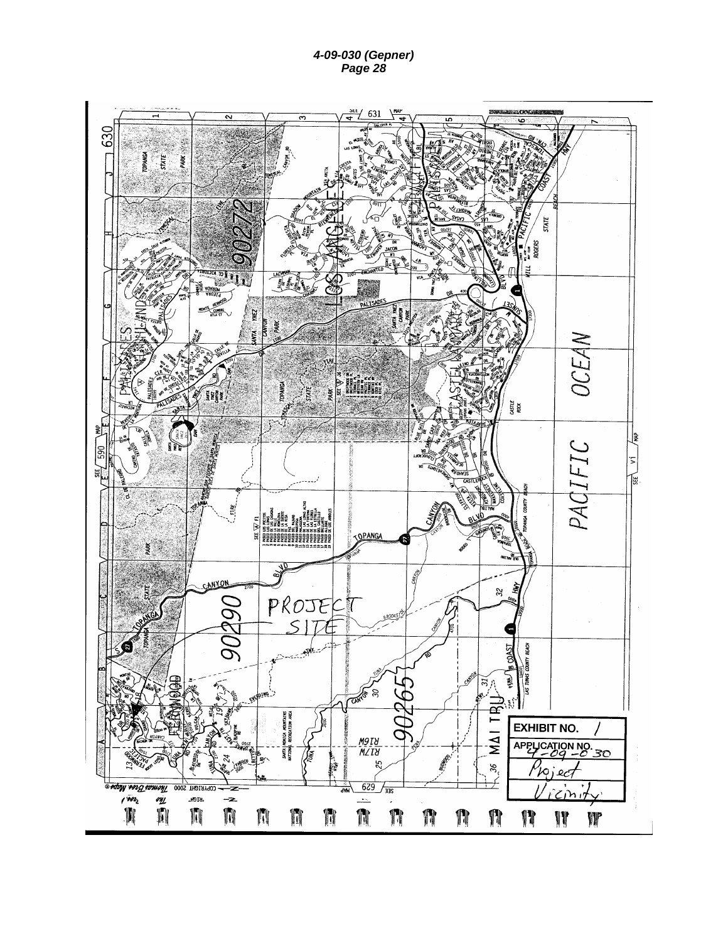*4-09-030 (Gepner) Page 28* 

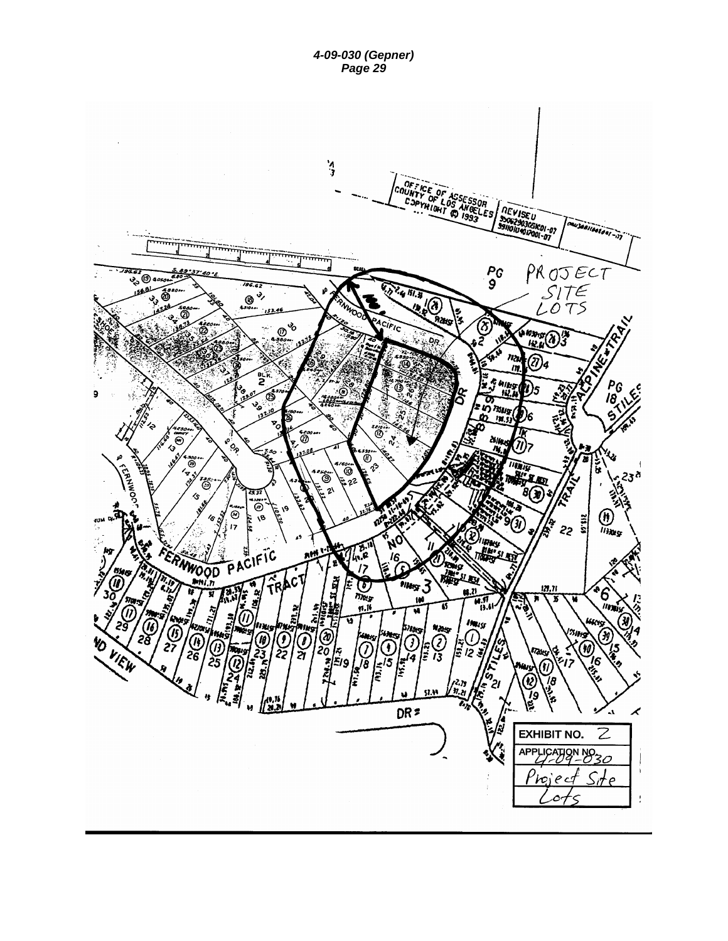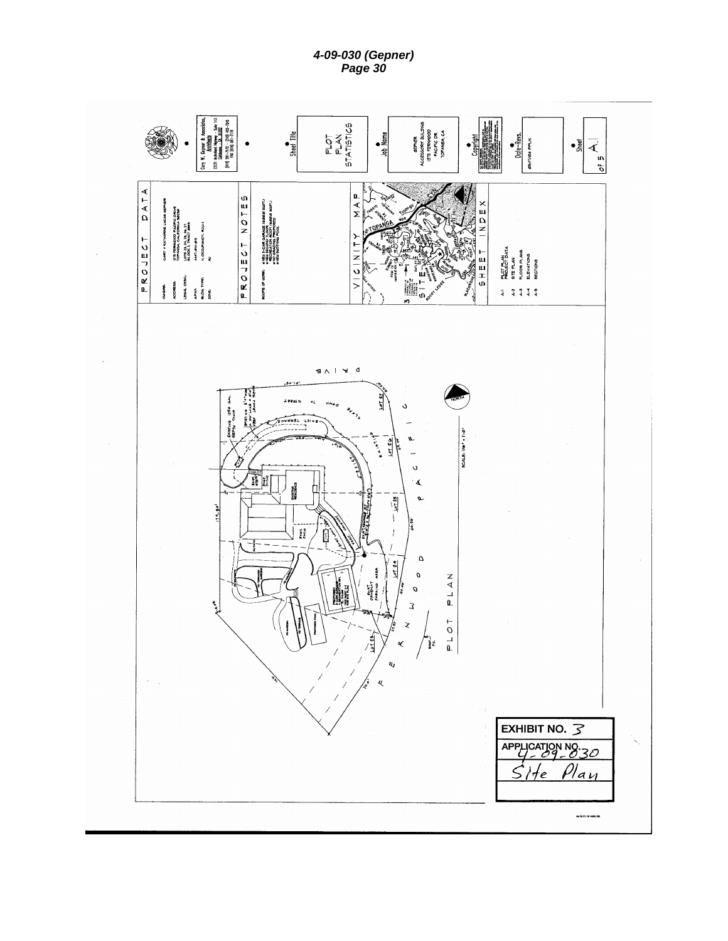*4-09-030 (Gepner) Page 30 Page 30* 

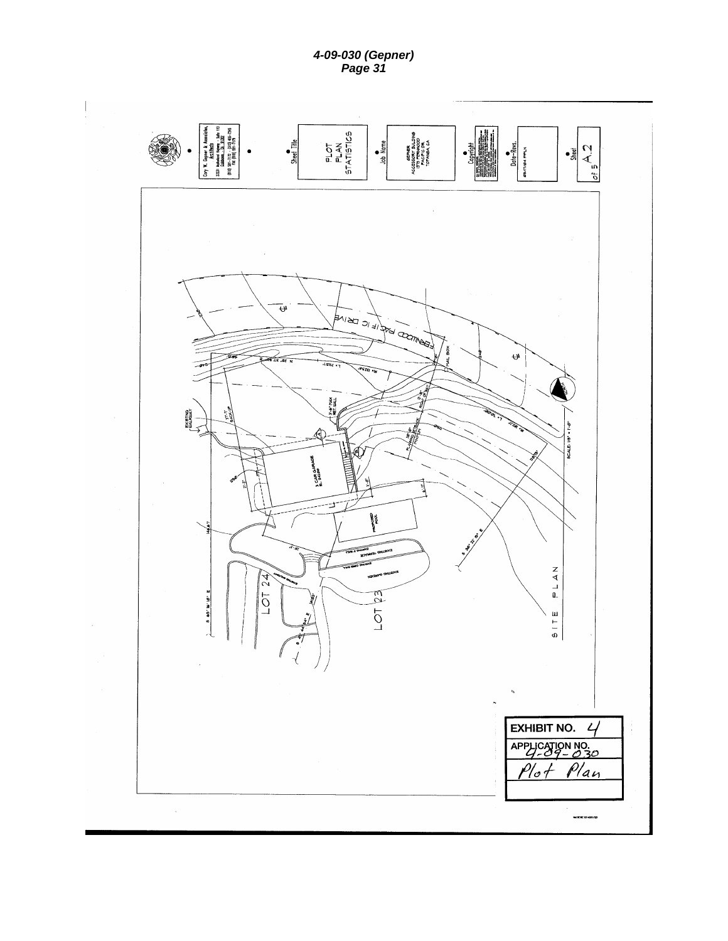*4-09-030 (Gepner) Page 31 Page 31* 

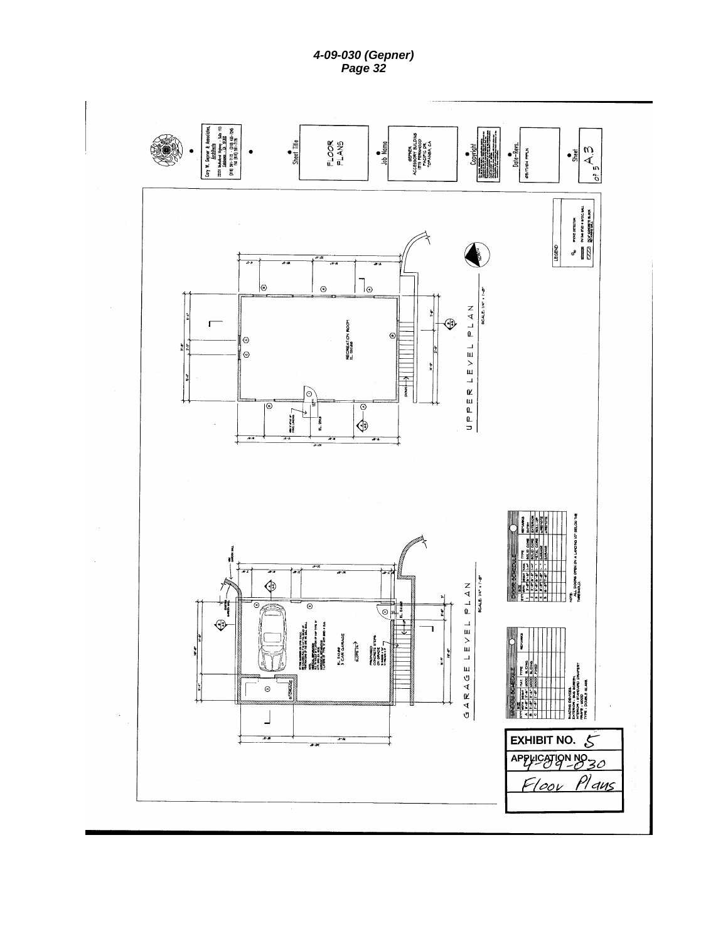*4-09-030 (Gepner) Page 32 Page 32* 

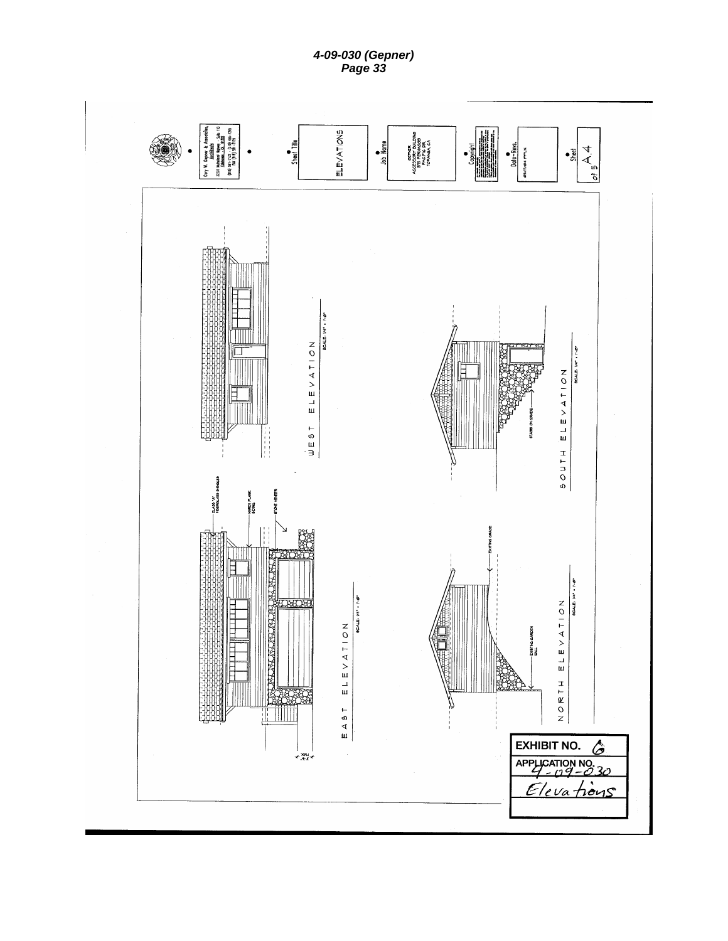*4-09-030 (Gepner) Page 33 Page 33*